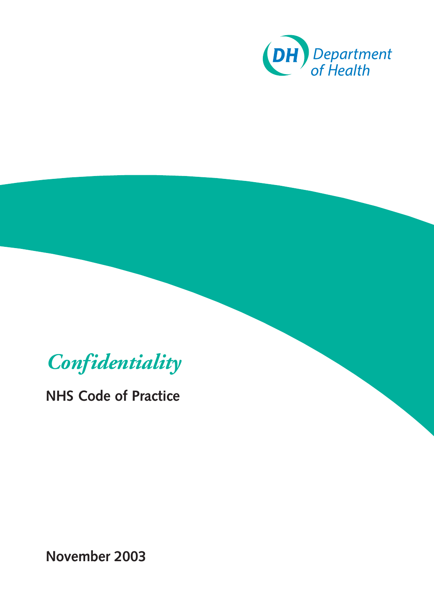

# *Confidentiality*

**NHS Code of Practice**

**November 2003**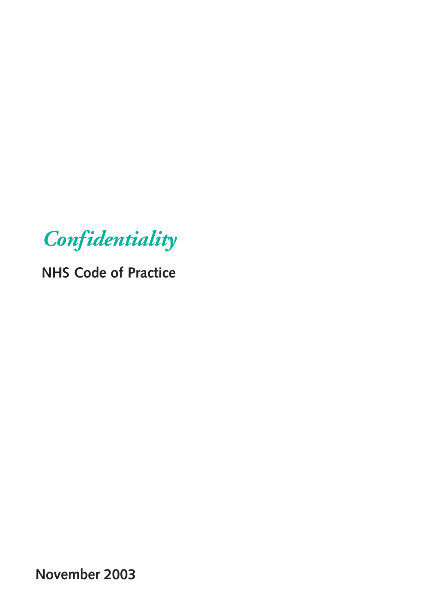*Confidentiality*

**NHS Code of Practice**

**November 2003**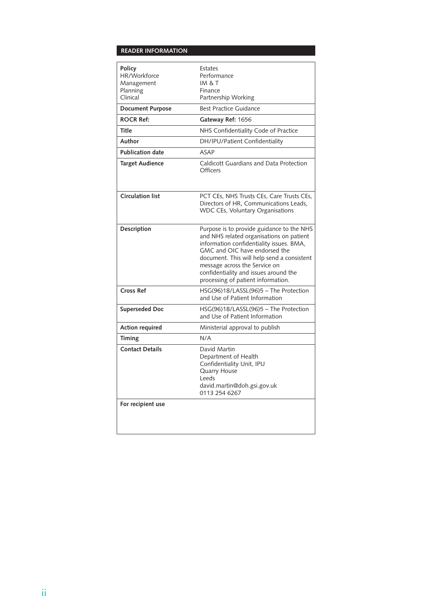| <b>READER INFORMATION</b>                                           |                                                                                                                                                                                                                                                                                                                                  |
|---------------------------------------------------------------------|----------------------------------------------------------------------------------------------------------------------------------------------------------------------------------------------------------------------------------------------------------------------------------------------------------------------------------|
| <b>Policy</b><br>HR/Workforce<br>Management<br>Planning<br>Clinical | Estates<br>Performance<br>IM & T<br>Finance<br>Partnership Working                                                                                                                                                                                                                                                               |
| <b>Document Purpose</b>                                             | <b>Best Practice Guidance</b>                                                                                                                                                                                                                                                                                                    |
| <b>ROCR Ref:</b>                                                    | Gateway Ref: 1656                                                                                                                                                                                                                                                                                                                |
| Title                                                               | NHS Confidentiality Code of Practice                                                                                                                                                                                                                                                                                             |
| Author                                                              | DH/IPU/Patient Confidentiality                                                                                                                                                                                                                                                                                                   |
| <b>Publication date</b>                                             | <b>ASAP</b>                                                                                                                                                                                                                                                                                                                      |
| <b>Target Audience</b>                                              | Caldicott Guardians and Data Protection<br>Officers                                                                                                                                                                                                                                                                              |
| <b>Circulation list</b>                                             | PCT CEs, NHS Trusts CEs, Care Trusts CEs,<br>Directors of HR, Communications Leads,<br><b>WDC CEs, Voluntary Organisations</b>                                                                                                                                                                                                   |
| Description                                                         | Purpose is to provide guidance to the NHS<br>and NHS related organisations on patient<br>information confidentiality issues. BMA,<br>GMC and OIC have endorsed the<br>document. This will help send a consistent<br>message across the Service on<br>confidentiality and issues around the<br>processing of patient information. |
| <b>Cross Ref</b>                                                    | HSG(96)18/LASSL(96)5 - The Protection<br>and Use of Patient Information                                                                                                                                                                                                                                                          |
| <b>Superseded Doc</b>                                               | HSG(96)18/LASSL(96)5 - The Protection<br>and Use of Patient Information                                                                                                                                                                                                                                                          |
| Action required                                                     | Ministerial approval to publish                                                                                                                                                                                                                                                                                                  |
| Timing                                                              | N/A                                                                                                                                                                                                                                                                                                                              |
| <b>Contact Details</b>                                              | David Martin<br>Department of Health<br>Confidentiality Unit, IPU<br>Quarry House<br>Leeds<br>david.martin@doh.gsi.gov.uk<br>0113 254 6267                                                                                                                                                                                       |
| For recipient use                                                   |                                                                                                                                                                                                                                                                                                                                  |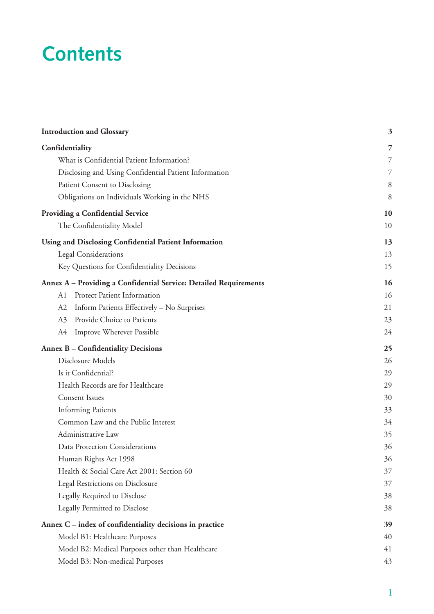# **Contents**

| <b>Introduction and Glossary</b>                                  |           |
|-------------------------------------------------------------------|-----------|
| Confidentiality                                                   | 7         |
| What is Confidential Patient Information?                         | 7         |
| Disclosing and Using Confidential Patient Information             | 7         |
| Patient Consent to Disclosing                                     | 8         |
| Obligations on Individuals Working in the NHS                     | 8         |
| <b>Providing a Confidential Service</b>                           | <b>10</b> |
| The Confidentiality Model                                         | 10        |
| <b>Using and Disclosing Confidential Patient Information</b>      | 13        |
| Legal Considerations                                              | 13        |
| Key Questions for Confidentiality Decisions                       | 15        |
| Annex A - Providing a Confidential Service: Detailed Requirements | <b>16</b> |
| Protect Patient Information<br>A1                                 | 16        |
| Inform Patients Effectively - No Surprises<br>A <sub>2</sub>      | 21        |
| Provide Choice to Patients<br>A3                                  | 23        |
| Improve Wherever Possible<br>A4                                   | 24        |
| <b>Annex B - Confidentiality Decisions</b>                        | 25        |
| Disclosure Models                                                 | 26        |
| Is it Confidential?                                               | 29        |
| Health Records are for Healthcare                                 | 29        |
| <b>Consent Issues</b>                                             | 30        |
| <b>Informing Patients</b>                                         | 33        |
| Common Law and the Public Interest                                | 34        |
| Administrative Law                                                | 35        |
| Data Protection Considerations                                    | 36        |
| Human Rights Act 1998                                             | 36        |
| Health & Social Care Act 2001: Section 60                         | 37        |
| Legal Restrictions on Disclosure                                  | 37        |
| Legally Required to Disclose                                      | 38        |
| Legally Permitted to Disclose                                     | 38        |
| Annex C - index of confidentiality decisions in practice          | 39        |
| Model B1: Healthcare Purposes                                     | 40        |
| Model B2: Medical Purposes other than Healthcare                  | 41        |
| Model B3: Non-medical Purposes                                    | 43        |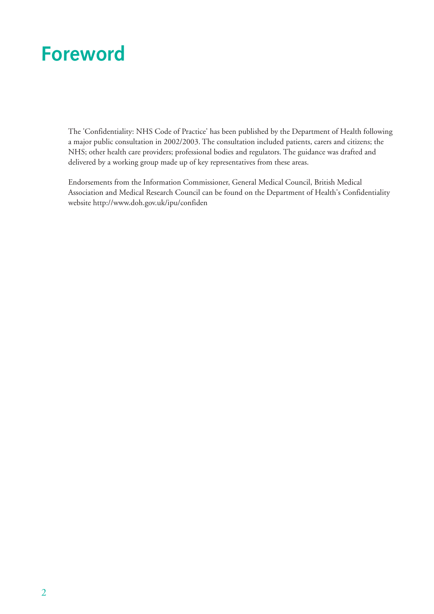# **Foreword**

The 'Confidentiality: NHS Code of Practice' has been published by the Department of Health following a major public consultation in 2002/2003. The consultation included patients, carers and citizens; the NHS; other health care providers; professional bodies and regulators. The guidance was drafted and delivered by a working group made up of key representatives from these areas.

Endorsements from the Information Commissioner, General Medical Council, British Medical Association and Medical Research Council can be found on the Department of Health's Confidentiality website http://www.doh.gov.uk/ipu/confiden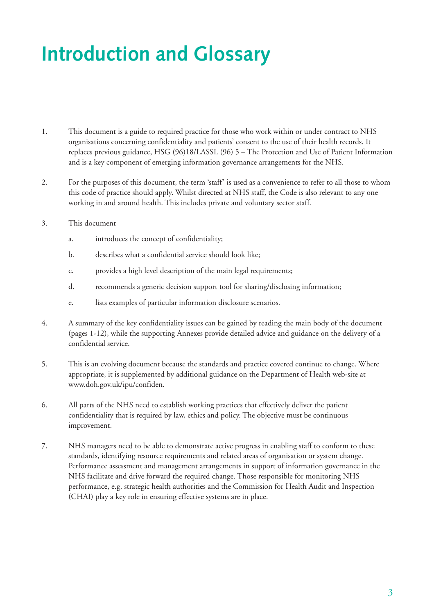# **Introduction and Glossary**

- 1. This document is a guide to required practice for those who work within or under contract to NHS organisations concerning confidentiality and patients' consent to the use of their health records. It replaces previous guidance, HSG (96)18/LASSL (96) 5 – The Protection and Use of Patient Information and is a key component of emerging information governance arrangements for the NHS.
- 2. For the purposes of this document, the term 'staff' is used as a convenience to refer to all those to whom this code of practice should apply. Whilst directed at NHS staff, the Code is also relevant to any one working in and around health. This includes private and voluntary sector staff.
- 3. This document
	- a. introduces the concept of confidentiality;
	- b. describes what a confidential service should look like;
	- c. provides a high level description of the main legal requirements;
	- d. recommends a generic decision support tool for sharing/disclosing information;
	- e. lists examples of particular information disclosure scenarios.
- 4. A summary of the key confidentiality issues can be gained by reading the main body of the document (pages 1-12), while the supporting Annexes provide detailed advice and guidance on the delivery of a confidential service.
- 5. This is an evolving document because the standards and practice covered continue to change. Where appropriate, it is supplemented by additional guidance on the Department of Health web-site at www.doh.gov.uk/ipu/confiden.
- 6. All parts of the NHS need to establish working practices that effectively deliver the patient confidentiality that is required by law, ethics and policy. The objective must be continuous improvement.
- 7. NHS managers need to be able to demonstrate active progress in enabling staff to conform to these standards, identifying resource requirements and related areas of organisation or system change. Performance assessment and management arrangements in support of information governance in the NHS facilitate and drive forward the required change. Those responsible for monitoring NHS performance, e.g. strategic health authorities and the Commission for Health Audit and Inspection (CHAI) play a key role in ensuring effective systems are in place.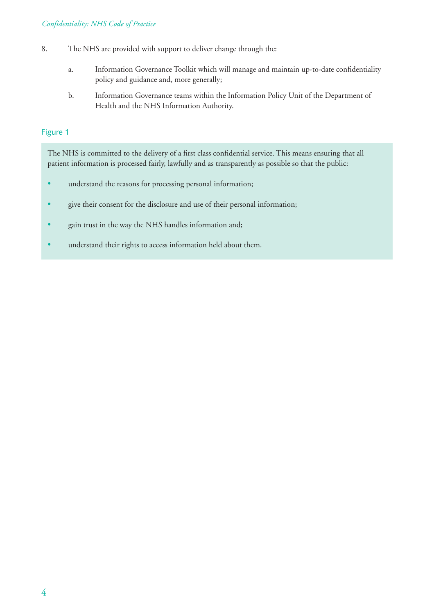#### *Confidentiality: NHS Code of Practice*

- 8. The NHS are provided with support to deliver change through the:
	- a. Information Governance Toolkit which will manage and maintain up-to-date confidentiality policy and guidance and, more generally;
	- b. Information Governance teams within the Information Policy Unit of the Department of Health and the NHS Information Authority.

#### Figure 1

The NHS is committed to the delivery of a first class confidential service. This means ensuring that all patient information is processed fairly, lawfully and as transparently as possible so that the public:

- understand the reasons for processing personal information;
- give their consent for the disclosure and use of their personal information;
- gain trust in the way the NHS handles information and;
- understand their rights to access information held about them.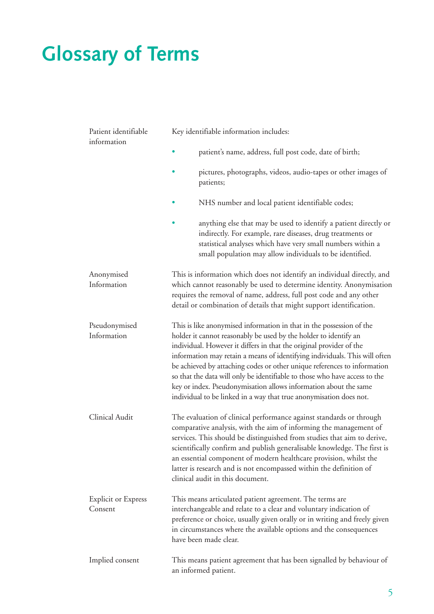# **Glossary of Terms**

| Patient identifiable<br>information   | Key identifiable information includes:                                                                                                                                                                                                                                                                                                                                                                                                                                                                                                                                                            |
|---------------------------------------|---------------------------------------------------------------------------------------------------------------------------------------------------------------------------------------------------------------------------------------------------------------------------------------------------------------------------------------------------------------------------------------------------------------------------------------------------------------------------------------------------------------------------------------------------------------------------------------------------|
|                                       | patient's name, address, full post code, date of birth;                                                                                                                                                                                                                                                                                                                                                                                                                                                                                                                                           |
|                                       | pictures, photographs, videos, audio-tapes or other images of<br>patients;                                                                                                                                                                                                                                                                                                                                                                                                                                                                                                                        |
|                                       | NHS number and local patient identifiable codes;                                                                                                                                                                                                                                                                                                                                                                                                                                                                                                                                                  |
|                                       | anything else that may be used to identify a patient directly or<br>indirectly. For example, rare diseases, drug treatments or<br>statistical analyses which have very small numbers within a<br>small population may allow individuals to be identified.                                                                                                                                                                                                                                                                                                                                         |
| Anonymised<br>Information             | This is information which does not identify an individual directly, and<br>which cannot reasonably be used to determine identity. Anonymisation<br>requires the removal of name, address, full post code and any other<br>detail or combination of details that might support identification.                                                                                                                                                                                                                                                                                                     |
| Pseudonymised<br>Information          | This is like anonymised information in that in the possession of the<br>holder it cannot reasonably be used by the holder to identify an<br>individual. However it differs in that the original provider of the<br>information may retain a means of identifying individuals. This will often<br>be achieved by attaching codes or other unique references to information<br>so that the data will only be identifiable to those who have access to the<br>key or index. Pseudonymisation allows information about the same<br>individual to be linked in a way that true anonymisation does not. |
| Clinical Audit                        | The evaluation of clinical performance against standards or through<br>comparative analysis, with the aim of informing the management of<br>services. This should be distinguished from studies that aim to derive,<br>scientifically confirm and publish generalisable knowledge. The first is<br>an essential component of modern healthcare provision, whilst the<br>latter is research and is not encompassed within the definition of<br>clinical audit in this document.                                                                                                                    |
| <b>Explicit or Express</b><br>Consent | This means articulated patient agreement. The terms are<br>interchangeable and relate to a clear and voluntary indication of<br>preference or choice, usually given orally or in writing and freely given<br>in circumstances where the available options and the consequences<br>have been made clear.                                                                                                                                                                                                                                                                                           |
| Implied consent                       | This means patient agreement that has been signalled by behaviour of<br>an informed patient.                                                                                                                                                                                                                                                                                                                                                                                                                                                                                                      |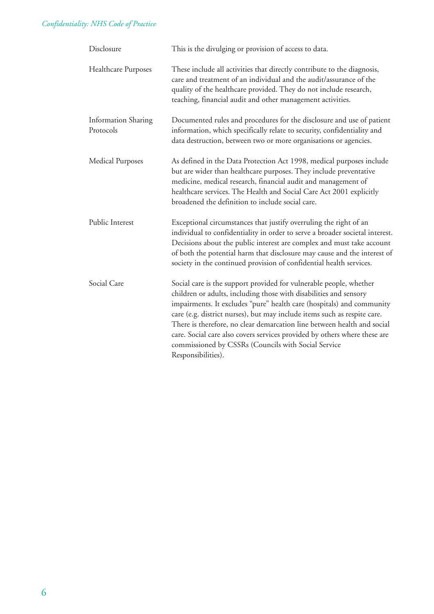## *Confidentiality: NHS Code of Practice*

| Disclosure                              | This is the divulging or provision of access to data.                                                                                                                                                                                                                                                                                                                                                                                                                                                                             |
|-----------------------------------------|-----------------------------------------------------------------------------------------------------------------------------------------------------------------------------------------------------------------------------------------------------------------------------------------------------------------------------------------------------------------------------------------------------------------------------------------------------------------------------------------------------------------------------------|
| Healthcare Purposes                     | These include all activities that directly contribute to the diagnosis,<br>care and treatment of an individual and the audit/assurance of the<br>quality of the healthcare provided. They do not include research,<br>teaching, financial audit and other management activities.                                                                                                                                                                                                                                                  |
| <b>Information Sharing</b><br>Protocols | Documented rules and procedures for the disclosure and use of patient<br>information, which specifically relate to security, confidentiality and<br>data destruction, between two or more organisations or agencies.                                                                                                                                                                                                                                                                                                              |
| <b>Medical Purposes</b>                 | As defined in the Data Protection Act 1998, medical purposes include<br>but are wider than healthcare purposes. They include preventative<br>medicine, medical research, financial audit and management of<br>healthcare services. The Health and Social Care Act 2001 explicitly<br>broadened the definition to include social care.                                                                                                                                                                                             |
| Public Interest                         | Exceptional circumstances that justify overruling the right of an<br>individual to confidentiality in order to serve a broader societal interest.<br>Decisions about the public interest are complex and must take account<br>of both the potential harm that disclosure may cause and the interest of<br>society in the continued provision of confidential health services.                                                                                                                                                     |
| Social Care                             | Social care is the support provided for vulnerable people, whether<br>children or adults, including those with disabilities and sensory<br>impairments. It excludes "pure" health care (hospitals) and community<br>care (e.g. district nurses), but may include items such as respite care.<br>There is therefore, no clear demarcation line between health and social<br>care. Social care also covers services provided by others where these are<br>commissioned by CSSRs (Councils with Social Service<br>Responsibilities). |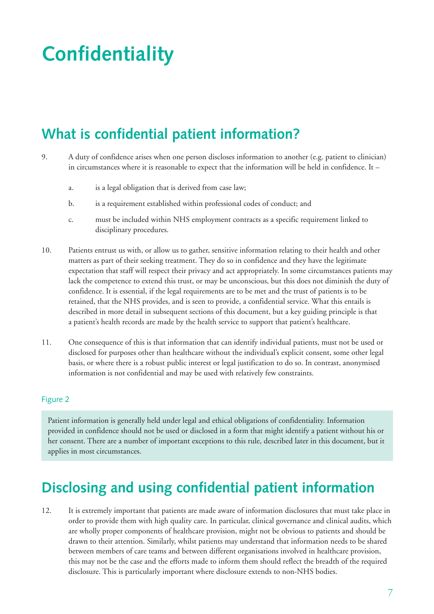# **Confidentiality**

# **What is confidential patient information?**

- 9. A duty of confidence arises when one person discloses information to another (e.g. patient to clinician) in circumstances where it is reasonable to expect that the information will be held in confidence. It –
	- a. is a legal obligation that is derived from case law;
	- b. is a requirement established within professional codes of conduct; and
	- c. must be included within NHS employment contracts as a specific requirement linked to disciplinary procedures.
- 10. Patients entrust us with, or allow us to gather, sensitive information relating to their health and other matters as part of their seeking treatment. They do so in confidence and they have the legitimate expectation that staff will respect their privacy and act appropriately. In some circumstances patients may lack the competence to extend this trust, or may be unconscious, but this does not diminish the duty of confidence. It is essential, if the legal requirements are to be met and the trust of patients is to be retained, that the NHS provides, and is seen to provide, a confidential service. What this entails is described in more detail in subsequent sections of this document, but a key guiding principle is that a patient's health records are made by the health service to support that patient's healthcare.
- 11. One consequence of this is that information that can identify individual patients, must not be used or disclosed for purposes other than healthcare without the individual's explicit consent, some other legal basis, or where there is a robust public interest or legal justification to do so. In contrast, anonymised information is not confidential and may be used with relatively few constraints.

#### Figure 2

Patient information is generally held under legal and ethical obligations of confidentiality. Information provided in confidence should not be used or disclosed in a form that might identify a patient without his or her consent. There are a number of important exceptions to this rule, described later in this document, but it applies in most circumstances.

# **Disclosing and using confidential patient information**

12. It is extremely important that patients are made aware of information disclosures that must take place in order to provide them with high quality care. In particular, clinical governance and clinical audits, which are wholly proper components of healthcare provision, might not be obvious to patients and should be drawn to their attention. Similarly, whilst patients may understand that information needs to be shared between members of care teams and between different organisations involved in healthcare provision, this may not be the case and the efforts made to inform them should reflect the breadth of the required disclosure. This is particularly important where disclosure extends to non-NHS bodies.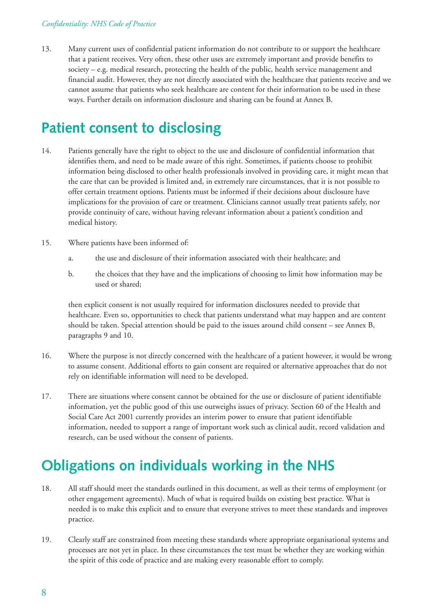#### *Confidentiality: NHS Code of Practice*

13. Many current uses of confidential patient information do not contribute to or support the healthcare that a patient receives. Very often, these other uses are extremely important and provide benefits to society – e.g. medical research, protecting the health of the public, health service management and financial audit. However, they are not directly associated with the healthcare that patients receive and we cannot assume that patients who seek healthcare are content for their information to be used in these ways. Further details on information disclosure and sharing can be found at Annex B.

# **Patient consent to disclosing**

- 14. Patients generally have the right to object to the use and disclosure of confidential information that identifies them, and need to be made aware of this right. Sometimes, if patients choose to prohibit information being disclosed to other health professionals involved in providing care, it might mean that the care that can be provided is limited and, in extremely rare circumstances, that it is not possible to offer certain treatment options. Patients must be informed if their decisions about disclosure have implications for the provision of care or treatment. Clinicians cannot usually treat patients safely, nor provide continuity of care, without having relevant information about a patient's condition and medical history.
- 15. Where patients have been informed of:
	- a. the use and disclosure of their information associated with their healthcare; and
	- b. the choices that they have and the implications of choosing to limit how information may be used or shared;

then explicit consent is not usually required for information disclosures needed to provide that healthcare. Even so, opportunities to check that patients understand what may happen and are content should be taken. Special attention should be paid to the issues around child consent – see Annex B, paragraphs 9 and 10.

- 16. Where the purpose is not directly concerned with the healthcare of a patient however, it would be wrong to assume consent. Additional efforts to gain consent are required or alternative approaches that do not rely on identifiable information will need to be developed.
- 17. There are situations where consent cannot be obtained for the use or disclosure of patient identifiable information, yet the public good of this use outweighs issues of privacy. Section 60 of the Health and Social Care Act 2001 currently provides an interim power to ensure that patient identifiable information, needed to support a range of important work such as clinical audit, record validation and research, can be used without the consent of patients.

# **Obligations on individuals working in the NHS**

- 18. All staff should meet the standards outlined in this document, as well as their terms of employment (or other engagement agreements). Much of what is required builds on existing best practice. What is needed is to make this explicit and to ensure that everyone strives to meet these standards and improves practice.
- 19. Clearly staff are constrained from meeting these standards where appropriate organisational systems and processes are not yet in place. In these circumstances the test must be whether they are working within the spirit of this code of practice and are making every reasonable effort to comply.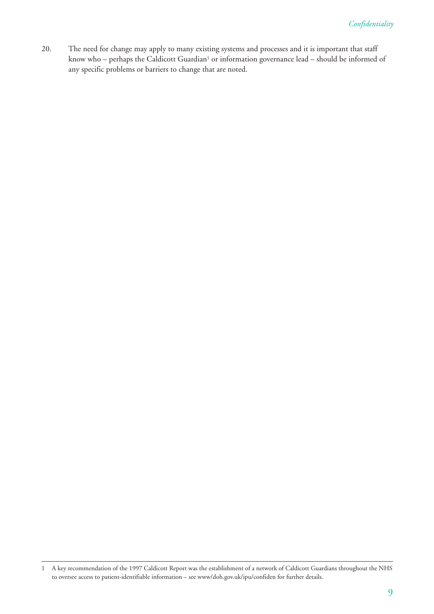20. The need for change may apply to many existing systems and processes and it is important that staff know who – perhaps the Caldicott Guardian<sup>1</sup> or information governance lead – should be informed of any specific problems or barriers to change that are noted.

<sup>1</sup> A key recommendation of the 1997 Caldicott Report was the establishment of a network of Caldicott Guardians throughout the NHS to oversee access to patient-identifiable information – see www/doh.gov.uk/ipu/confiden for further details.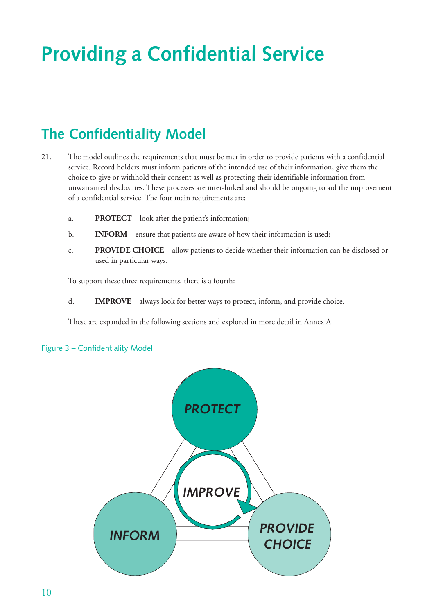# **Providing a Confidential Service**

# **The Confidentiality Model**

- 21. The model outlines the requirements that must be met in order to provide patients with a confidential service. Record holders must inform patients of the intended use of their information, give them the choice to give or withhold their consent as well as protecting their identifiable information from unwarranted disclosures. These processes are inter-linked and should be ongoing to aid the improvement of a confidential service. The four main requirements are:
	- a. **PROTECT** look after the patient's information;
	- b. **INFORM** ensure that patients are aware of how their information is used;
	- c. **PROVIDE CHOICE**  allow patients to decide whether their information can be disclosed or used in particular ways.

To support these three requirements, there is a fourth:

d. **IMPROVE** – always look for better ways to protect, inform, and provide choice.

These are expanded in the following sections and explored in more detail in Annex A.

#### Figure 3 – Confidentiality Model

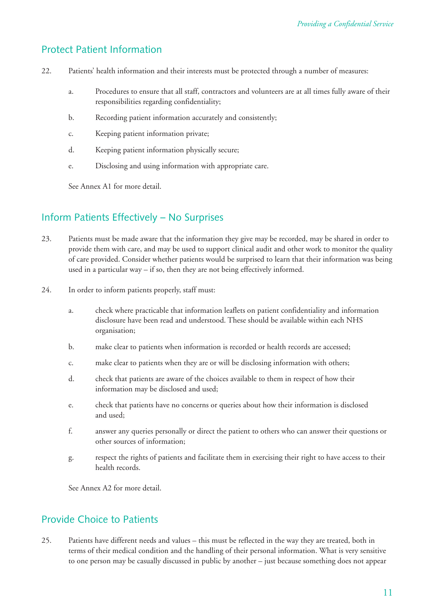### Protect Patient Information

- 22. Patients' health information and their interests must be protected through a number of measures:
	- a. Procedures to ensure that all staff, contractors and volunteers are at all times fully aware of their responsibilities regarding confidentiality;
	- b. Recording patient information accurately and consistently;
	- c. Keeping patient information private;
	- d. Keeping patient information physically secure;
	- e. Disclosing and using information with appropriate care.

See Annex A1 for more detail.

### Inform Patients Effectively – No Surprises

- 23. Patients must be made aware that the information they give may be recorded, may be shared in order to provide them with care, and may be used to support clinical audit and other work to monitor the quality of care provided. Consider whether patients would be surprised to learn that their information was being used in a particular way – if so, then they are not being effectively informed.
- 24. In order to inform patients properly, staff must:
	- a. check where practicable that information leaflets on patient confidentiality and information disclosure have been read and understood. These should be available within each NHS organisation;
	- b. make clear to patients when information is recorded or health records are accessed;
	- c. make clear to patients when they are or will be disclosing information with others;
	- d. check that patients are aware of the choices available to them in respect of how their information may be disclosed and used;
	- e. check that patients have no concerns or queries about how their information is disclosed and used;
	- f. answer any queries personally or direct the patient to others who can answer their questions or other sources of information;
	- g. respect the rights of patients and facilitate them in exercising their right to have access to their health records.

See Annex A2 for more detail.

#### Provide Choice to Patients

25. Patients have different needs and values – this must be reflected in the way they are treated, both in terms of their medical condition and the handling of their personal information. What is very sensitive to one person may be casually discussed in public by another – just because something does not appear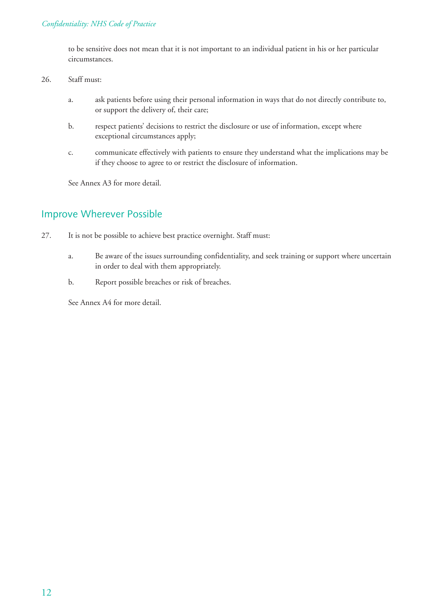to be sensitive does not mean that it is not important to an individual patient in his or her particular circumstances.

#### 26. Staff must:

- a. ask patients before using their personal information in ways that do not directly contribute to, or support the delivery of, their care;
- b. respect patients' decisions to restrict the disclosure or use of information, except where exceptional circumstances apply;
- c. communicate effectively with patients to ensure they understand what the implications may be if they choose to agree to or restrict the disclosure of information.

See Annex A3 for more detail.

### Improve Wherever Possible

27. It is not be possible to achieve best practice overnight. Staff must:

- a. Be aware of the issues surrounding confidentiality, and seek training or support where uncertain in order to deal with them appropriately.
- b. Report possible breaches or risk of breaches.

See Annex A4 for more detail.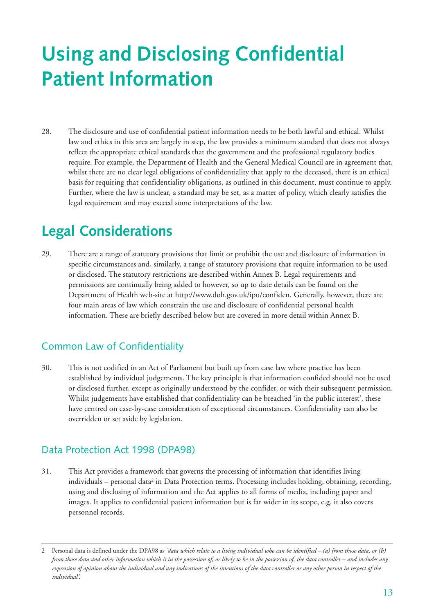# **Using and Disclosing Confidential Patient Information**

28. The disclosure and use of confidential patient information needs to be both lawful and ethical. Whilst law and ethics in this area are largely in step, the law provides a minimum standard that does not always reflect the appropriate ethical standards that the government and the professional regulatory bodies require. For example, the Department of Health and the General Medical Council are in agreement that, whilst there are no clear legal obligations of confidentiality that apply to the deceased, there is an ethical basis for requiring that confidentiality obligations, as outlined in this document, must continue to apply. Further, where the law is unclear, a standard may be set, as a matter of policy, which clearly satisfies the legal requirement and may exceed some interpretations of the law.

# **Legal Considerations**

29. There are a range of statutory provisions that limit or prohibit the use and disclosure of information in specific circumstances and, similarly, a range of statutory provisions that require information to be used or disclosed. The statutory restrictions are described within Annex B. Legal requirements and permissions are continually being added to however, so up to date details can be found on the Department of Health web-site at http://www.doh.gov.uk/ipu/confiden. Generally, however, there are four main areas of law which constrain the use and disclosure of confidential personal health information. These are briefly described below but are covered in more detail within Annex B.

## Common Law of Confidentiality

30. This is not codified in an Act of Parliament but built up from case law where practice has been established by individual judgements. The key principle is that information confided should not be used or disclosed further, except as originally understood by the confider, or with their subsequent permission. Whilst judgements have established that confidentiality can be breached 'in the public interest', these have centred on case-by-case consideration of exceptional circumstances. Confidentiality can also be overridden or set aside by legislation.

### Data Protection Act 1998 (DPA98)

31. This Act provides a framework that governs the processing of information that identifies living individuals – personal data<sup>2</sup> in Data Protection terms. Processing includes holding, obtaining, recording, using and disclosing of information and the Act applies to all forms of media, including paper and images. It applies to confidential patient information but is far wider in its scope, e.g. it also covers personnel records.

<sup>2</sup> Personal data is defined under the DPA98 as *'data which relate to a living individual who can be identified – (a) from those data, or (b) from those data and other information which is in the possession of, or likely to be in the possession of, the data controller – and includes any expression of opinion about the individual and any indications of the intentions of the data controller or any other person in respect of the individual'*.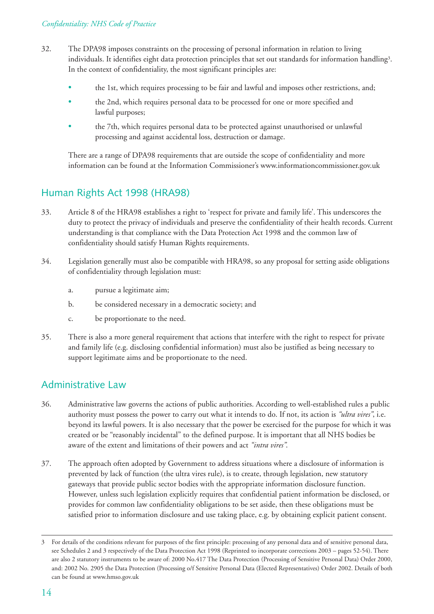#### *Confidentiality: NHS Code of Practice*

- 32. The DPA98 imposes constraints on the processing of personal information in relation to living individuals. It identifies eight data protection principles that set out standards for information handling3. In the context of confidentiality, the most significant principles are:
	- the 1st, which requires processing to be fair and lawful and imposes other restrictions, and;
	- the 2nd, which requires personal data to be processed for one or more specified and lawful purposes;
	- the 7th, which requires personal data to be protected against unauthorised or unlawful processing and against accidental loss, destruction or damage.

There are a range of DPA98 requirements that are outside the scope of confidentiality and more information can be found at the Information Commissioner's www.informationcommissioner.gov.uk

### Human Rights Act 1998 (HRA98)

- 33. Article 8 of the HRA98 establishes a right to 'respect for private and family life'. This underscores the duty to protect the privacy of individuals and preserve the confidentiality of their health records. Current understanding is that compliance with the Data Protection Act 1998 and the common law of confidentiality should satisfy Human Rights requirements.
- 34. Legislation generally must also be compatible with HRA98, so any proposal for setting aside obligations of confidentiality through legislation must:
	- a. pursue a legitimate aim;
	- b. be considered necessary in a democratic society; and
	- c. be proportionate to the need.
- 35. There is also a more general requirement that actions that interfere with the right to respect for private and family life (e.g. disclosing confidential information) must also be justified as being necessary to support legitimate aims and be proportionate to the need.

### Administrative Law

- 36. Administrative law governs the actions of public authorities. According to well-established rules a public authority must possess the power to carry out what it intends to do. If not, its action is *"ultra vires"*, i.e. beyond its lawful powers. It is also necessary that the power be exercised for the purpose for which it was created or be "reasonably incidental" to the defined purpose. It is important that all NHS bodies be aware of the extent and limitations of their powers and act *"intra vires"*.
- 37. The approach often adopted by Government to address situations where a disclosure of information is prevented by lack of function (the ultra vires rule), is to create, through legislation, new statutory gateways that provide public sector bodies with the appropriate information disclosure function. However, unless such legislation explicitly requires that confidential patient information be disclosed, or provides for common law confidentiality obligations to be set aside, then these obligations must be satisfied prior to information disclosure and use taking place, e.g. by obtaining explicit patient consent.

<sup>3</sup> For details of the conditions relevant for purposes of the first principle: processing of any personal data and of sensitive personal data, see Schedules 2 and 3 respectively of the Data Protection Act 1998 (Reprinted to incorporate corrections 2003 – pages 52-54). There are also 2 statutory instruments to be aware of: 2000 No.417 The Data Protection (Processing of Sensitive Personal Data) Order 2000, and: 2002 No. 2905 the Data Protection (Processing o/f Sensitive Personal Data (Elected Representatives) Order 2002. Details of both can be found at www.hmso.gov.uk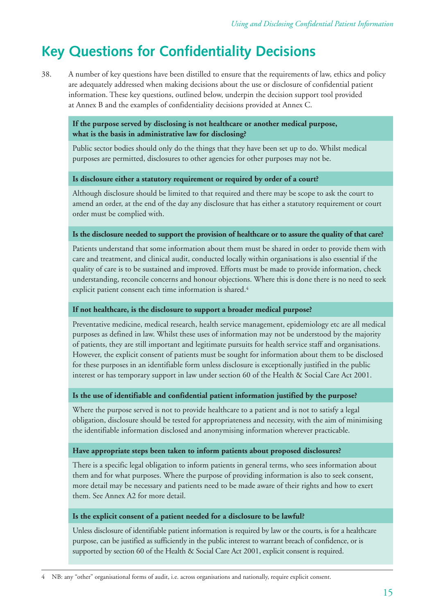# **Key Questions for Confidentiality Decisions**

38. A number of key questions have been distilled to ensure that the requirements of law, ethics and policy are adequately addressed when making decisions about the use or disclosure of confidential patient information. These key questions, outlined below, underpin the decision support tool provided at Annex B and the examples of confidentiality decisions provided at Annex C.

#### **If the purpose served by disclosing is not healthcare or another medical purpose, what is the basis in administrative law for disclosing?**

Public sector bodies should only do the things that they have been set up to do. Whilst medical purposes are permitted, disclosures to other agencies for other purposes may not be.

#### **Is disclosure either a statutory requirement or required by order of a court?**

Although disclosure should be limited to that required and there may be scope to ask the court to amend an order, at the end of the day any disclosure that has either a statutory requirement or court order must be complied with.

#### **Is the disclosure needed to support the provision of healthcare or to assure the quality of that care?**

Patients understand that some information about them must be shared in order to provide them with care and treatment, and clinical audit, conducted locally within organisations is also essential if the quality of care is to be sustained and improved. Efforts must be made to provide information, check understanding, reconcile concerns and honour objections. Where this is done there is no need to seek explicit patient consent each time information is shared.<sup>4</sup>

#### **If not healthcare, is the disclosure to support a broader medical purpose?**

Preventative medicine, medical research, health service management, epidemiology etc are all medical purposes as defined in law. Whilst these uses of information may not be understood by the majority of patients, they are still important and legitimate pursuits for health service staff and organisations. However, the explicit consent of patients must be sought for information about them to be disclosed for these purposes in an identifiable form unless disclosure is exceptionally justified in the public interest or has temporary support in law under section 60 of the Health & Social Care Act 2001.

#### **Is the use of identifiable and confidential patient information justified by the purpose?**

Where the purpose served is not to provide healthcare to a patient and is not to satisfy a legal obligation, disclosure should be tested for appropriateness and necessity, with the aim of minimising the identifiable information disclosed and anonymising information wherever practicable.

#### **Have appropriate steps been taken to inform patients about proposed disclosures?**

There is a specific legal obligation to inform patients in general terms, who sees information about them and for what purposes. Where the purpose of providing information is also to seek consent, more detail may be necessary and patients need to be made aware of their rights and how to exert them. See Annex A2 for more detail.

#### **Is the explicit consent of a patient needed for a disclosure to be lawful?**

Unless disclosure of identifiable patient information is required by law or the courts, is for a healthcare purpose, can be justified as sufficiently in the public interest to warrant breach of confidence, or is supported by section 60 of the Health & Social Care Act 2001, explicit consent is required.

4 NB: any "other" organisational forms of audit, i.e. across organisations and nationally, require explicit consent.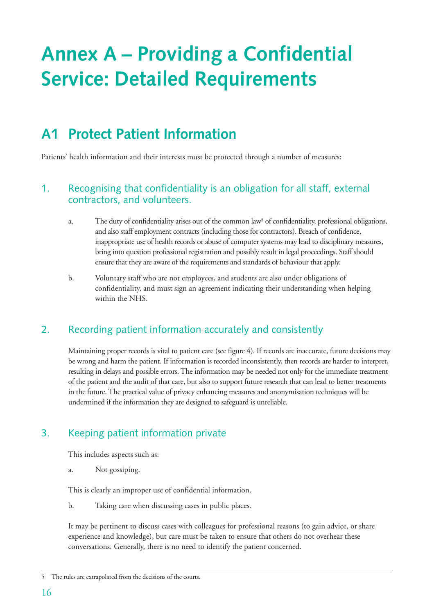# **Annex A – Providing a Confidential Service: Detailed Requirements**

# **A1 Protect Patient Information**

Patients' health information and their interests must be protected through a number of measures:

### 1. Recognising that confidentiality is an obligation for all staff, external contractors, and volunteers.

- a. The duty of confidentiality arises out of the common law<sup>5</sup> of confidentiality, professional obligations, and also staff employment contracts (including those for contractors). Breach of confidence, inappropriate use of health records or abuse of computer systems may lead to disciplinary measures, bring into question professional registration and possibly result in legal proceedings. Staff should ensure that they are aware of the requirements and standards of behaviour that apply.
- b. Voluntary staff who are not employees, and students are also under obligations of confidentiality, and must sign an agreement indicating their understanding when helping within the NHS.

## 2. Recording patient information accurately and consistently

Maintaining proper records is vital to patient care (see figure 4). If records are inaccurate, future decisions may be wrong and harm the patient. If information is recorded inconsistently, then records are harder to interpret, resulting in delays and possible errors. The information may be needed not only for the immediate treatment of the patient and the audit of that care, but also to support future research that can lead to better treatments in the future. The practical value of privacy enhancing measures and anonymisation techniques will be undermined if the information they are designed to safeguard is unreliable.

### 3. Keeping patient information private

This includes aspects such as:

a. Not gossiping.

This is clearly an improper use of confidential information.

b. Taking care when discussing cases in public places.

It may be pertinent to discuss cases with colleagues for professional reasons (to gain advice, or share experience and knowledge), but care must be taken to ensure that others do not overhear these conversations. Generally, there is no need to identify the patient concerned.

<sup>5</sup> The rules are extrapolated from the decisions of the courts.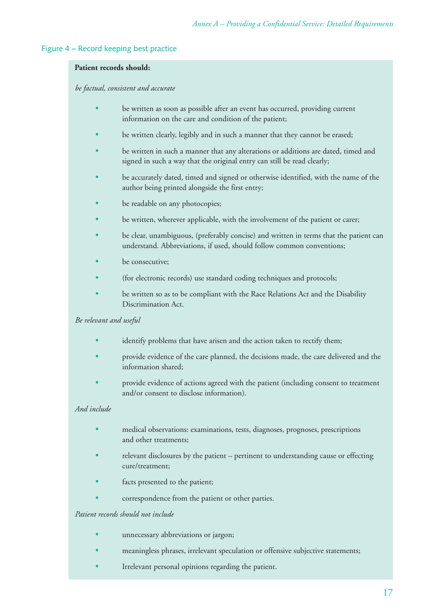#### Figure 4 – Record keeping best practice

#### **Patient records should:**

*be factual, consistent and accurate* 

- be written as soon as possible after an event has occurred, providing current information on the care and condition of the patient;
- be written clearly, legibly and in such a manner that they cannot be erased;
- be written in such a manner that any alterations or additions are dated, timed and signed in such a way that the original entry can still be read clearly;
- be accurately dated, timed and signed or otherwise identified, with the name of the author being printed alongside the first entry;
- be readable on any photocopies;
- be written, wherever applicable, with the involvement of the patient or carer;
- be clear, unambiguous, (preferably concise) and written in terms that the patient can understand. Abbreviations, if used, should follow common conventions;
- be consecutive:
- (for electronic records) use standard coding techniques and protocols;
- be written so as to be compliant with the Race Relations Act and the Disability Discrimination Act.

*Be relevant and useful* 

- identify problems that have arisen and the action taken to rectify them;
- provide evidence of the care planned, the decisions made, the care delivered and the information shared;
- provide evidence of actions agreed with the patient (including consent to treatment and/or consent to disclose information).

#### *And include*

- medical observations: examinations, tests, diagnoses, prognoses, prescriptions and other treatments;
- relevant disclosures by the patient pertinent to understanding cause or effecting cure/treatment;
- facts presented to the patient;
- correspondence from the patient or other parties.

#### *Patient records should not include*

- unnecessary abbreviations or jargon;
- meaningless phrases, irrelevant speculation or offensive subjective statements;
- Irrelevant personal opinions regarding the patient.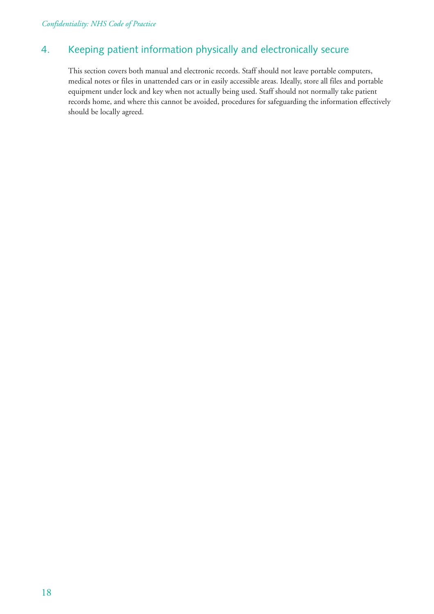#### *Confidentiality: NHS Code of Practice*

## 4. Keeping patient information physically and electronically secure

This section covers both manual and electronic records. Staff should not leave portable computers, medical notes or files in unattended cars or in easily accessible areas. Ideally, store all files and portable equipment under lock and key when not actually being used. Staff should not normally take patient records home, and where this cannot be avoided, procedures for safeguarding the information effectively should be locally agreed.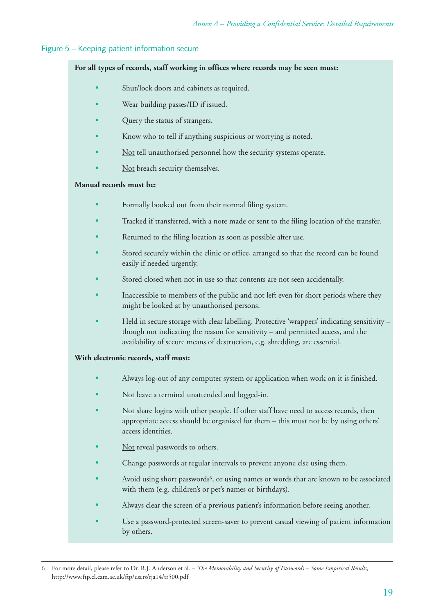#### Figure 5 – Keeping patient information secure

#### **For all types of records, staff working in offices where records may be seen must:**

- Shut/lock doors and cabinets as required.
- Wear building passes/ID if issued.
- Query the status of strangers.
- Know who to tell if anything suspicious or worrying is noted.
- Not tell unauthorised personnel how the security systems operate.
- Not breach security themselves.

#### **Manual records must be:**

- Formally booked out from their normal filing system.
- Tracked if transferred, with a note made or sent to the filing location of the transfer.
- Returned to the filing location as soon as possible after use.
- Stored securely within the clinic or office, arranged so that the record can be found easily if needed urgently.
- Stored closed when not in use so that contents are not seen accidentally.
- Inaccessible to members of the public and not left even for short periods where they might be looked at by unauthorised persons.
- Held in secure storage with clear labelling. Protective 'wrappers' indicating sensitivity though not indicating the reason for sensitivity – and permitted access, and the availability of secure means of destruction, e.g. shredding, are essential.

#### **With electronic records, staff must:**

- Always log-out of any computer system or application when work on it is finished.
- Not leave a terminal unattended and logged-in.
- Not share logins with other people. If other staff have need to access records, then appropriate access should be organised for them – this must not be by using others' access identities.
- Not reveal passwords to others.
- Change passwords at regular intervals to prevent anyone else using them.
- Avoid using short passwords<sup>6</sup>, or using names or words that are known to be associated with them (e.g. children's or pet's names or birthdays).
- Always clear the screen of a previous patient's information before seeing another.
- Use a password-protected screen-saver to prevent casual viewing of patient information by others.

<sup>6</sup> For more detail, please refer to Dr. R.J. Anderson et al. – *The Memorability and Security of Passwords – Some Empirical Results*, http://www.ftp.cl.cam.ac.uk/ftp/users/rja14/tr500.pdf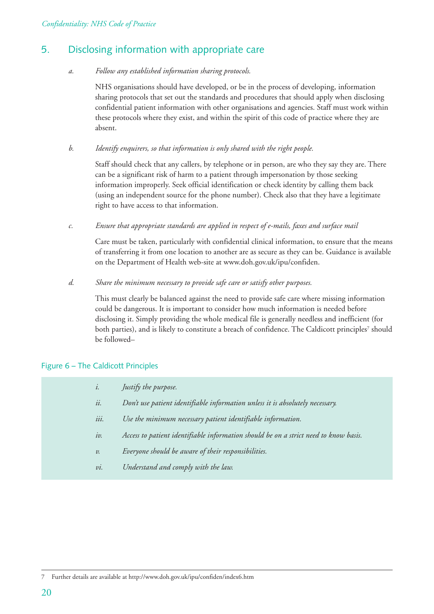## 5. Disclosing information with appropriate care

#### *a. Follow any established information sharing protocols.*

NHS organisations should have developed, or be in the process of developing, information sharing protocols that set out the standards and procedures that should apply when disclosing confidential patient information with other organisations and agencies. Staff must work within these protocols where they exist, and within the spirit of this code of practice where they are absent.

*b. Identify enquirers, so that information is only shared with the right people.* 

Staff should check that any callers, by telephone or in person, are who they say they are. There can be a significant risk of harm to a patient through impersonation by those seeking information improperly. Seek official identification or check identity by calling them back (using an independent source for the phone number). Check also that they have a legitimate right to have access to that information.

*c. Ensure that appropriate standards are applied in respect of e-mails, faxes and surface mail*

Care must be taken, particularly with confidential clinical information, to ensure that the means of transferring it from one location to another are as secure as they can be. Guidance is available on the Department of Health web-site at www.doh.gov.uk/ipu/confiden.

*d. Share the minimum necessary to provide safe care or satisfy other purposes.* 

This must clearly be balanced against the need to provide safe care where missing information could be dangerous. It is important to consider how much information is needed before disclosing it. Simply providing the whole medical file is generally needless and inefficient (for both parties), and is likely to constitute a breach of confidence. The Caldicott principles<sup>7</sup> should be followed–

#### Figure 6 – The Caldicott Principles

| $\dot{i}$ . | Justify the purpose.                                                                 |
|-------------|--------------------------------------------------------------------------------------|
| ii.         | Don't use patient identifiable information unless it is absolutely necessary.        |
| iii.        | Use the minimum necessary patient identifiable information.                          |
| iv.         | Access to patient identifiable information should be on a strict need to know basis. |
| $v_{\cdot}$ | Everyone should be aware of their responsibilities.                                  |
| vi.         | Understand and comply with the law.                                                  |

7 Further details are available at http://www.doh.gov.uk/ipu/confiden/index6.htm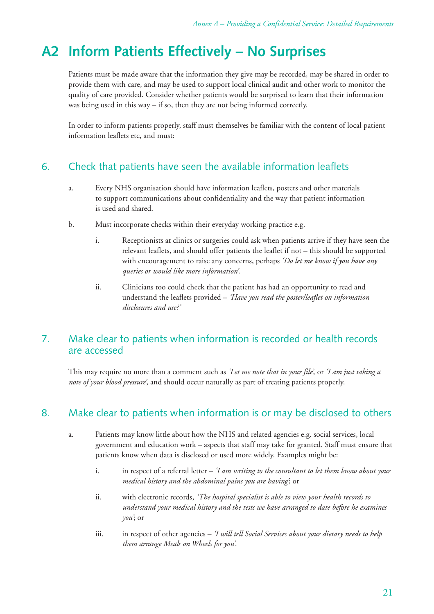# **A2 Inform Patients Effectively – No Surprises**

Patients must be made aware that the information they give may be recorded, may be shared in order to provide them with care, and may be used to support local clinical audit and other work to monitor the quality of care provided. Consider whether patients would be surprised to learn that their information was being used in this way – if so, then they are not being informed correctly.

In order to inform patients properly, staff must themselves be familiar with the content of local patient information leaflets etc, and must:

### 6. Check that patients have seen the available information leaflets

- a. Every NHS organisation should have information leaflets, posters and other materials to support communications about confidentiality and the way that patient information is used and shared.
- b. Must incorporate checks within their everyday working practice e.g.
	- i. Receptionists at clinics or surgeries could ask when patients arrive if they have seen the relevant leaflets, and should offer patients the leaflet if not – this should be supported with encouragement to raise any concerns, perhaps *'Do let me know if you have any queries or would like more information'*.
	- ii. Clinicians too could check that the patient has had an opportunity to read and understand the leaflets provided – *'Have you read the poster/leaflet on information disclosures and use?'*

### 7. Make clear to patients when information is recorded or health records are accessed

This may require no more than a comment such as *'Let me note that in your file'*, or *'I am just taking a note of your blood pressure'*, and should occur naturally as part of treating patients properly.

### 8. Make clear to patients when information is or may be disclosed to others

- a. Patients may know little about how the NHS and related agencies e.g. social services, local government and education work – aspects that staff may take for granted. Staff must ensure that patients know when data is disclosed or used more widely. Examples might be:
	- i. in respect of a referral letter *'I am writing to the consultant to let them know about your medical history and the abdominal pains you are having'*; or
	- ii. with electronic records, *'The hospital specialist is able to view your health records to understand your medical history and the tests we have arranged to date before he examines you'*; or
	- iii. in respect of other agencies *'I will tell Social Services about your dietary needs to help them arrange Meals on Wheels for you'*.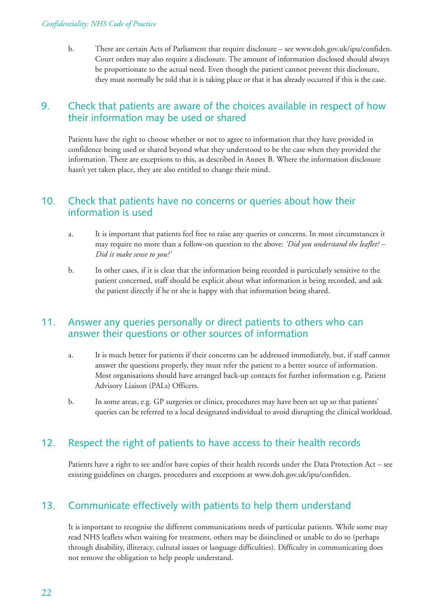#### *Confidentiality: NHS Code of Practice*

b. There are certain Acts of Parliament that require disclosure – see www.doh.gov.uk/ipu/confiden. Court orders may also require a disclosure. The amount of information disclosed should always be proportionate to the actual need. Even though the patient cannot prevent this disclosure, they must normally be told that it is taking place or that it has already occurred if this is the case.

### 9. Check that patients are aware of the choices available in respect of how their information may be used or shared

Patients have the right to choose whether or not to agree to information that they have provided in confidence being used or shared beyond what they understood to be the case when they provided the information. There are exceptions to this, as described in Annex B. Where the information disclosure hasn't yet taken place, they are also entitled to change their mind.

#### 10. Check that patients have no concerns or queries about how their information is used

- a. It is important that patients feel free to raise any queries or concerns. In most circumstances it may require no more than a follow-on question to the above: *'Did you understand the leaflet? – Did it make sense to you?'*
- b. In other cases, if it is clear that the information being recorded is particularly sensitive to the patient concerned, staff should be explicit about what information is being recorded, and ask the patient directly if he or she is happy with that information being shared.

### 11. Answer any queries personally or direct patients to others who can answer their questions or other sources of information

- a. It is much better for patients if their concerns can be addressed immediately, but, if staff cannot answer the questions properly, they must refer the patient to a better source of information. Most organisations should have arranged back-up contacts for further information e.g. Patient Advisory Liaison (PALs) Officers.
- b. In some areas, e.g. GP surgeries or clinics, procedures may have been set up so that patients' queries can be referred to a local designated individual to avoid disrupting the clinical workload.

### 12. Respect the right of patients to have access to their health records

Patients have a right to see and/or have copies of their health records under the Data Protection Act – see existing guidelines on charges, procedures and exceptions at www.doh.gov.uk/ipu/confiden.

## 13. Communicate effectively with patients to help them understand

It is important to recognise the different communications needs of particular patients. While some may read NHS leaflets when waiting for treatment, others may be disinclined or unable to do so (perhaps through disability, illiteracy, cultural issues or language difficulties). Difficulty in communicating does not remove the obligation to help people understand.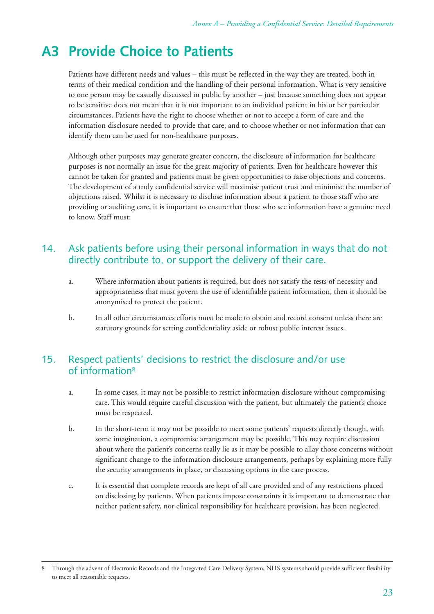# **A3 Provide Choice to Patients**

Patients have different needs and values – this must be reflected in the way they are treated, both in terms of their medical condition and the handling of their personal information. What is very sensitive to one person may be casually discussed in public by another – just because something does not appear to be sensitive does not mean that it is not important to an individual patient in his or her particular circumstances. Patients have the right to choose whether or not to accept a form of care and the information disclosure needed to provide that care, and to choose whether or not information that can identify them can be used for non-healthcare purposes.

Although other purposes may generate greater concern, the disclosure of information for healthcare purposes is not normally an issue for the great majority of patients. Even for healthcare however this cannot be taken for granted and patients must be given opportunities to raise objections and concerns. The development of a truly confidential service will maximise patient trust and minimise the number of objections raised. Whilst it is necessary to disclose information about a patient to those staff who are providing or auditing care, it is important to ensure that those who see information have a genuine need to know. Staff must:

### 14. Ask patients before using their personal information in ways that do not directly contribute to, or support the delivery of their care.

- a. Where information about patients is required, but does not satisfy the tests of necessity and appropriateness that must govern the use of identifiable patient information, then it should be anonymised to protect the patient.
- b. In all other circumstances efforts must be made to obtain and record consent unless there are statutory grounds for setting confidentiality aside or robust public interest issues.

### 15. Respect patients' decisions to restrict the disclosure and/or use of information8

- a. In some cases, it may not be possible to restrict information disclosure without compromising care. This would require careful discussion with the patient, but ultimately the patient's choice must be respected.
- b. In the short-term it may not be possible to meet some patients' requests directly though, with some imagination, a compromise arrangement may be possible. This may require discussion about where the patient's concerns really lie as it may be possible to allay those concerns without significant change to the information disclosure arrangements, perhaps by explaining more fully the security arrangements in place, or discussing options in the care process.
- c. It is essential that complete records are kept of all care provided and of any restrictions placed on disclosing by patients. When patients impose constraints it is important to demonstrate that neither patient safety, nor clinical responsibility for healthcare provision, has been neglected.

<sup>8</sup> Through the advent of Electronic Records and the Integrated Care Delivery System, NHS systems should provide sufficient flexibility to meet all reasonable requests.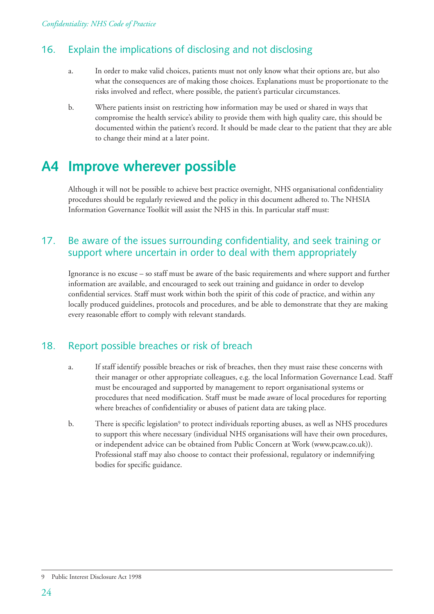### 16. Explain the implications of disclosing and not disclosing

- a. In order to make valid choices, patients must not only know what their options are, but also what the consequences are of making those choices. Explanations must be proportionate to the risks involved and reflect, where possible, the patient's particular circumstances.
- b. Where patients insist on restricting how information may be used or shared in ways that compromise the health service's ability to provide them with high quality care, this should be documented within the patient's record. It should be made clear to the patient that they are able to change their mind at a later point.

# **A4 Improve wherever possible**

Although it will not be possible to achieve best practice overnight, NHS organisational confidentiality procedures should be regularly reviewed and the policy in this document adhered to. The NHSIA Information Governance Toolkit will assist the NHS in this. In particular staff must:

### 17. Be aware of the issues surrounding confidentiality, and seek training or support where uncertain in order to deal with them appropriately

Ignorance is no excuse – so staff must be aware of the basic requirements and where support and further information are available, and encouraged to seek out training and guidance in order to develop confidential services. Staff must work within both the spirit of this code of practice, and within any locally produced guidelines, protocols and procedures, and be able to demonstrate that they are making every reasonable effort to comply with relevant standards.

## 18. Report possible breaches or risk of breach

- a. If staff identify possible breaches or risk of breaches, then they must raise these concerns with their manager or other appropriate colleagues, e.g. the local Information Governance Lead. Staff must be encouraged and supported by management to report organisational systems or procedures that need modification. Staff must be made aware of local procedures for reporting where breaches of confidentiality or abuses of patient data are taking place.
- b. There is specific legislation<sup>9</sup> to protect individuals reporting abuses, as well as NHS procedures to support this where necessary (individual NHS organisations will have their own procedures, or independent advice can be obtained from Public Concern at Work (www.pcaw.co.uk)). Professional staff may also choose to contact their professional, regulatory or indemnifying bodies for specific guidance.

<sup>9</sup> Public Interest Disclosure Act 1998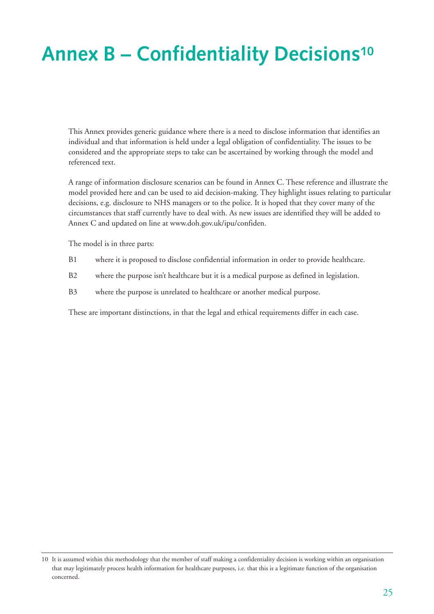# **Annex B – Confidentiality Decisions10**

This Annex provides generic guidance where there is a need to disclose information that identifies an individual and that information is held under a legal obligation of confidentiality. The issues to be considered and the appropriate steps to take can be ascertained by working through the model and referenced text.

A range of information disclosure scenarios can be found in Annex C. These reference and illustrate the model provided here and can be used to aid decision-making. They highlight issues relating to particular decisions, e.g. disclosure to NHS managers or to the police. It is hoped that they cover many of the circumstances that staff currently have to deal with. As new issues are identified they will be added to Annex C and updated on line at www.doh.gov.uk/ipu/confiden.

The model is in three parts:

- B1 where it is proposed to disclose confidential information in order to provide healthcare.
- B2 where the purpose isn't healthcare but it is a medical purpose as defined in legislation.
- B3 where the purpose is unrelated to healthcare or another medical purpose.

These are important distinctions, in that the legal and ethical requirements differ in each case.

<sup>10</sup> It is assumed within this methodology that the member of staff making a confidentiality decision is working within an organisation that may legitimately process health information for healthcare purposes, i.e. that this is a legitimate function of the organisation concerned.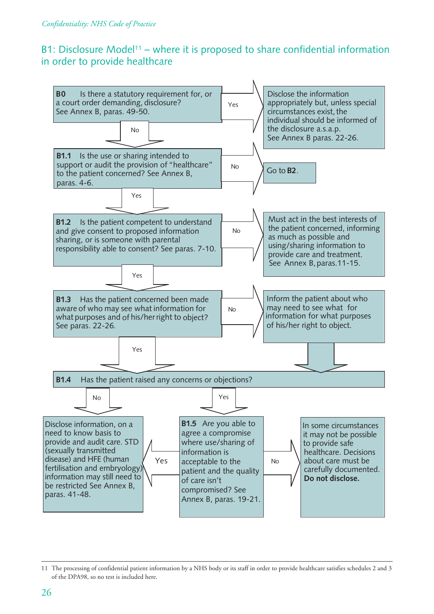### B1: Disclosure Model<sup>11</sup> – where it is proposed to share confidential information in order to provide healthcare



<sup>11</sup> The processing of confidential patient information by a NHS body or its staff in order to provide healthcare satisfies schedules 2 and 3 of the DPA98, so no test is included here.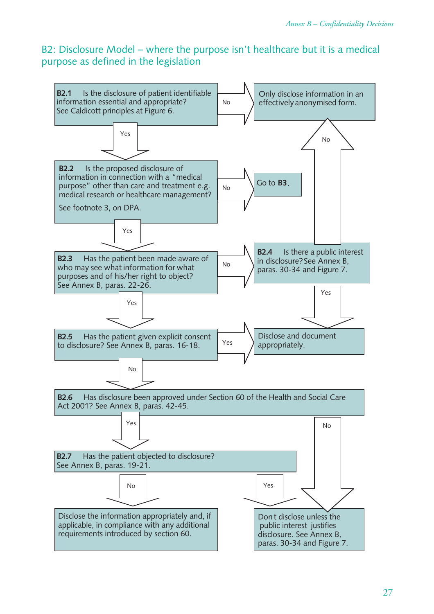### B2: Disclosure Model – where the purpose isn't healthcare but it is a medical purpose as defined in the legislation

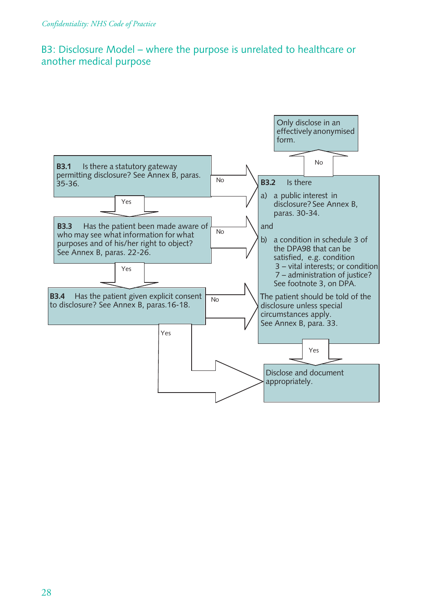### B3: Disclosure Model – where the purpose is unrelated to healthcare or another medical purpose

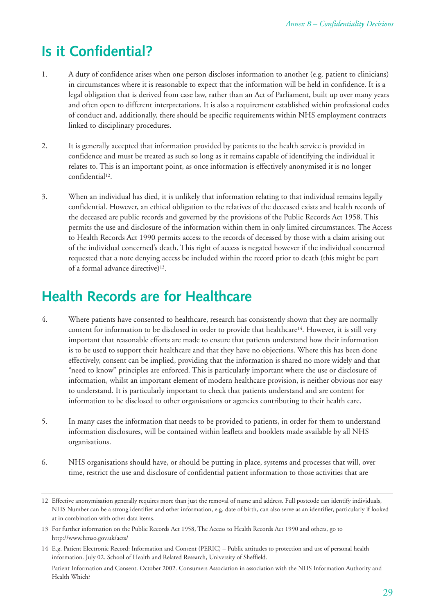# **Is it Confidential?**

- 1. A duty of confidence arises when one person discloses information to another (e.g. patient to clinicians) in circumstances where it is reasonable to expect that the information will be held in confidence. It is a legal obligation that is derived from case law, rather than an Act of Parliament, built up over many years and often open to different interpretations. It is also a requirement established within professional codes of conduct and, additionally, there should be specific requirements within NHS employment contracts linked to disciplinary procedures.
- 2. It is generally accepted that information provided by patients to the health service is provided in confidence and must be treated as such so long as it remains capable of identifying the individual it relates to. This is an important point, as once information is effectively anonymised it is no longer confidential<sup>12</sup>.
- 3. When an individual has died, it is unlikely that information relating to that individual remains legally confidential. However, an ethical obligation to the relatives of the deceased exists and health records of the deceased are public records and governed by the provisions of the Public Records Act 1958. This permits the use and disclosure of the information within them in only limited circumstances. The Access to Health Records Act 1990 permits access to the records of deceased by those with a claim arising out of the individual concerned's death. This right of access is negated however if the individual concerned requested that a note denying access be included within the record prior to death (this might be part of a formal advance directive)13.

# **Health Records are for Healthcare**

- 4. Where patients have consented to healthcare, research has consistently shown that they are normally content for information to be disclosed in order to provide that healthcare<sup>14</sup>. However, it is still very important that reasonable efforts are made to ensure that patients understand how their information is to be used to support their healthcare and that they have no objections. Where this has been done effectively, consent can be implied, providing that the information is shared no more widely and that "need to know" principles are enforced. This is particularly important where the use or disclosure of information, whilst an important element of modern healthcare provision, is neither obvious nor easy to understand. It is particularly important to check that patients understand and are content for information to be disclosed to other organisations or agencies contributing to their health care.
- 5. In many cases the information that needs to be provided to patients, in order for them to understand information disclosures, will be contained within leaflets and booklets made available by all NHS organisations.
- 6. NHS organisations should have, or should be putting in place, systems and processes that will, over time, restrict the use and disclosure of confidential patient information to those activities that are

Patient Information and Consent. October 2002. Consumers Association in association with the NHS Information Authority and Health Which?

<sup>12</sup> Effective anonymisation generally requires more than just the removal of name and address. Full postcode can identify individuals, NHS Number can be a strong identifier and other information, e.g. date of birth, can also serve as an identifier, particularly if looked at in combination with other data items.

<sup>13</sup> For further information on the Public Records Act 1958, The Access to Health Records Act 1990 and others, go to http://www.hmso.gov.uk/acts/

<sup>14</sup> E.g. Patient Electronic Record: Information and Consent (PERIC) – Public attitudes to protection and use of personal health information. July 02. School of Health and Related Research, University of Sheffield.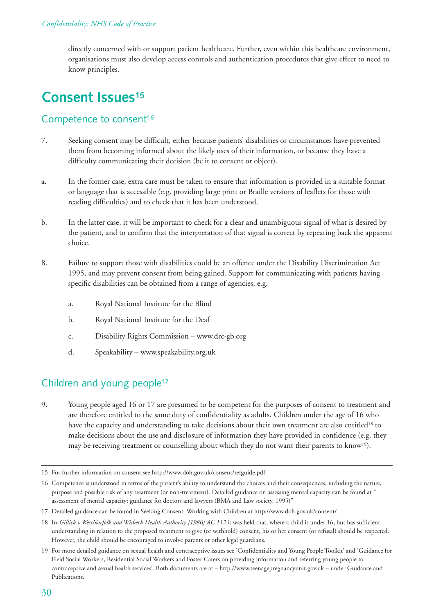directly concerned with or support patient healthcare. Further, even within this healthcare environment, organisations must also develop access controls and authentication procedures that give effect to need to know principles.

# **Consent Issues15**

#### Competence to consent<sup>16</sup>

- 7. Seeking consent may be difficult, either because patients' disabilities or circumstances have prevented them from becoming informed about the likely uses of their information, or because they have a difficulty communicating their decision (be it to consent or object).
- a. In the former case, extra care must be taken to ensure that information is provided in a suitable format or language that is accessible (e.g. providing large print or Braille versions of leaflets for those with reading difficulties) and to check that it has been understood.
- b. In the latter case, it will be important to check for a clear and unambiguous signal of what is desired by the patient, and to confirm that the interpretation of that signal is correct by repeating back the apparent choice.
- 8. Failure to support those with disabilities could be an offence under the Disability Discrimination Act 1995, and may prevent consent from being gained. Support for communicating with patients having specific disabilities can be obtained from a range of agencies, e.g.
	- a. Royal National Institute for the Blind
	- b. Royal National Institute for the Deaf
	- c. Disability Rights Commission www.drc-gb.org
	- d. Speakability www.speakability.org.uk

## Children and young people<sup>17</sup>

9. Young people aged 16 or 17 are presumed to be competent for the purposes of consent to treatment and are therefore entitled to the same duty of confidentiality as adults. Children under the age of 16 who have the capacity and understanding to take decisions about their own treatment are also entitled<sup>18</sup> to make decisions about the use and disclosure of information they have provided in confidence (e.g. they may be receiving treatment or counselling about which they do not want their parents to know19).

<sup>15</sup> For further information on consent see http://www.doh.gov.uk/consent/refguide.pdf

<sup>16</sup> Competence is understood in terms of the patient's ability to understand the choices and their consequences, including the nature, purpose and possible risk of any treatment (or non-treatment). Detailed guidance on assessing mental capacity can be found at " assessment of mental capacity: guidance for doctors and lawyers (BMA and Law society, 1995)"

<sup>17</sup> Detailed guidance can be found in Seeking Consent: Working with Children at http://www.doh.gov.uk/consent/

<sup>18</sup> In *Gillick v WestNorfolk and Wisbech Health Authority [1986] AC 112* it was held that, where a child is under 16, but has sufficient understanding in relation to the proposed treatment to give (or withhold) consent, his or her consent (or refusal) should be respected. However, the child should be encouraged to involve parents or other legal guardians.

<sup>19</sup> For more detailed guidance on sexual health and contraceptive issues see 'Confidentiality and Young People Toolkit' and 'Guidance for Field Social Workers, Residential Social Workers and Foster Carers on providing information and referring young people to contraceptive and sexual health services'. Both documents are at – http://www.teenagepregnancyunit.gov.uk – under Guidance and Publications.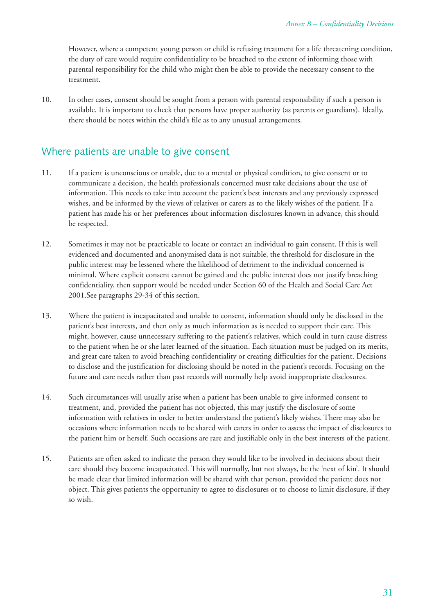However, where a competent young person or child is refusing treatment for a life threatening condition, the duty of care would require confidentiality to be breached to the extent of informing those with parental responsibility for the child who might then be able to provide the necessary consent to the treatment.

10. In other cases, consent should be sought from a person with parental responsibility if such a person is available. It is important to check that persons have proper authority (as parents or guardians). Ideally, there should be notes within the child's file as to any unusual arrangements.

#### Where patients are unable to give consent

- 11. If a patient is unconscious or unable, due to a mental or physical condition, to give consent or to communicate a decision, the health professionals concerned must take decisions about the use of information. This needs to take into account the patient's best interests and any previously expressed wishes, and be informed by the views of relatives or carers as to the likely wishes of the patient. If a patient has made his or her preferences about information disclosures known in advance, this should be respected.
- 12. Sometimes it may not be practicable to locate or contact an individual to gain consent. If this is well evidenced and documented and anonymised data is not suitable, the threshold for disclosure in the public interest may be lessened where the likelihood of detriment to the individual concerned is minimal. Where explicit consent cannot be gained and the public interest does not justify breaching confidentiality, then support would be needed under Section 60 of the Health and Social Care Act 2001.See paragraphs 29-34 of this section.
- 13. Where the patient is incapacitated and unable to consent, information should only be disclosed in the patient's best interests, and then only as much information as is needed to support their care. This might, however, cause unnecessary suffering to the patient's relatives, which could in turn cause distress to the patient when he or she later learned of the situation. Each situation must be judged on its merits, and great care taken to avoid breaching confidentiality or creating difficulties for the patient. Decisions to disclose and the justification for disclosing should be noted in the patient's records. Focusing on the future and care needs rather than past records will normally help avoid inappropriate disclosures.
- 14. Such circumstances will usually arise when a patient has been unable to give informed consent to treatment, and, provided the patient has not objected, this may justify the disclosure of some information with relatives in order to better understand the patient's likely wishes. There may also be occasions where information needs to be shared with carers in order to assess the impact of disclosures to the patient him or herself. Such occasions are rare and justifiable only in the best interests of the patient.
- 15. Patients are often asked to indicate the person they would like to be involved in decisions about their care should they become incapacitated. This will normally, but not always, be the 'next of kin'. It should be made clear that limited information will be shared with that person, provided the patient does not object. This gives patients the opportunity to agree to disclosures or to choose to limit disclosure, if they so wish.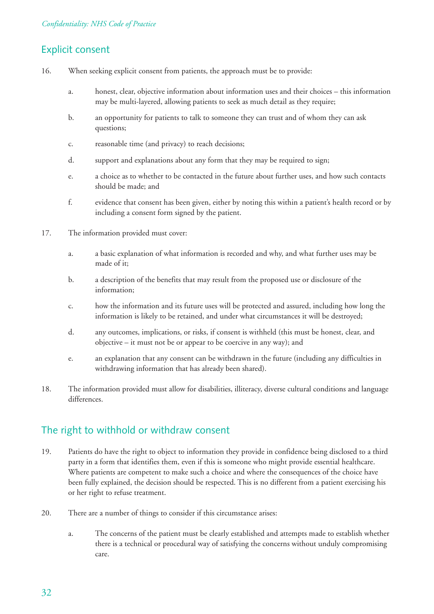### Explicit consent

- 16. When seeking explicit consent from patients, the approach must be to provide:
	- a. honest, clear, objective information about information uses and their choices this information may be multi-layered, allowing patients to seek as much detail as they require;
	- b. an opportunity for patients to talk to someone they can trust and of whom they can ask questions;
	- c. reasonable time (and privacy) to reach decisions;
	- d. support and explanations about any form that they may be required to sign;
	- e. a choice as to whether to be contacted in the future about further uses, and how such contacts should be made; and
	- f. evidence that consent has been given, either by noting this within a patient's health record or by including a consent form signed by the patient.
- 17. The information provided must cover:
	- a. a basic explanation of what information is recorded and why, and what further uses may be made of it;
	- b. a description of the benefits that may result from the proposed use or disclosure of the information;
	- c. how the information and its future uses will be protected and assured, including how long the information is likely to be retained, and under what circumstances it will be destroyed;
	- d. any outcomes, implications, or risks, if consent is withheld (this must be honest, clear, and objective – it must not be or appear to be coercive in any way); and
	- e. an explanation that any consent can be withdrawn in the future (including any difficulties in withdrawing information that has already been shared).
- 18. The information provided must allow for disabilities, illiteracy, diverse cultural conditions and language differences.

### The right to withhold or withdraw consent

- 19. Patients do have the right to object to information they provide in confidence being disclosed to a third party in a form that identifies them, even if this is someone who might provide essential healthcare. Where patients are competent to make such a choice and where the consequences of the choice have been fully explained, the decision should be respected. This is no different from a patient exercising his or her right to refuse treatment.
- 20. There are a number of things to consider if this circumstance arises:
	- a. The concerns of the patient must be clearly established and attempts made to establish whether there is a technical or procedural way of satisfying the concerns without unduly compromising care.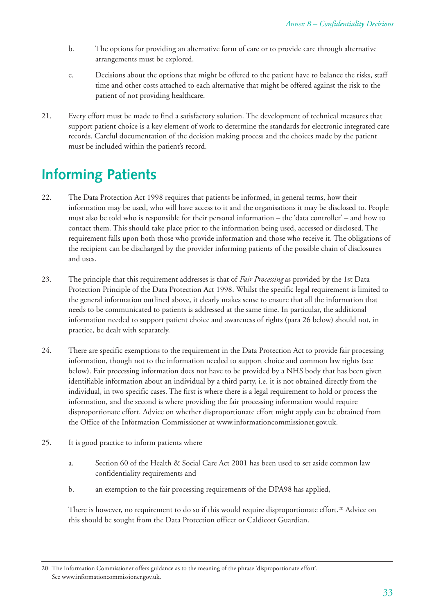- b. The options for providing an alternative form of care or to provide care through alternative arrangements must be explored.
- c. Decisions about the options that might be offered to the patient have to balance the risks, staff time and other costs attached to each alternative that might be offered against the risk to the patient of not providing healthcare.
- 21. Every effort must be made to find a satisfactory solution. The development of technical measures that support patient choice is a key element of work to determine the standards for electronic integrated care records. Careful documentation of the decision making process and the choices made by the patient must be included within the patient's record.

# **Informing Patients**

- 22. The Data Protection Act 1998 requires that patients be informed, in general terms, how their information may be used, who will have access to it and the organisations it may be disclosed to. People must also be told who is responsible for their personal information – the 'data controller' – and how to contact them. This should take place prior to the information being used, accessed or disclosed. The requirement falls upon both those who provide information and those who receive it. The obligations of the recipient can be discharged by the provider informing patients of the possible chain of disclosures and uses.
- 23. The principle that this requirement addresses is that of *Fair Processing* as provided by the 1st Data Protection Principle of the Data Protection Act 1998. Whilst the specific legal requirement is limited to the general information outlined above, it clearly makes sense to ensure that all the information that needs to be communicated to patients is addressed at the same time. In particular, the additional information needed to support patient choice and awareness of rights (para 26 below) should not, in practice, be dealt with separately.
- 24. There are specific exemptions to the requirement in the Data Protection Act to provide fair processing information, though not to the information needed to support choice and common law rights (see below). Fair processing information does not have to be provided by a NHS body that has been given identifiable information about an individual by a third party, i.e. it is not obtained directly from the individual, in two specific cases. The first is where there is a legal requirement to hold or process the information, and the second is where providing the fair processing information would require disproportionate effort. Advice on whether disproportionate effort might apply can be obtained from the Office of the Information Commissioner at www.informationcommissioner.gov.uk.
- 25. It is good practice to inform patients where
	- a. Section 60 of the Health & Social Care Act 2001 has been used to set aside common law confidentiality requirements and
	- b. an exemption to the fair processing requirements of the DPA98 has applied,

There is however, no requirement to do so if this would require disproportionate effort.20 Advice on this should be sought from the Data Protection officer or Caldicott Guardian.

<sup>20</sup> The Information Commissioner offers guidance as to the meaning of the phrase 'disproportionate effort'. See www.informationcommissioner.gov.uk.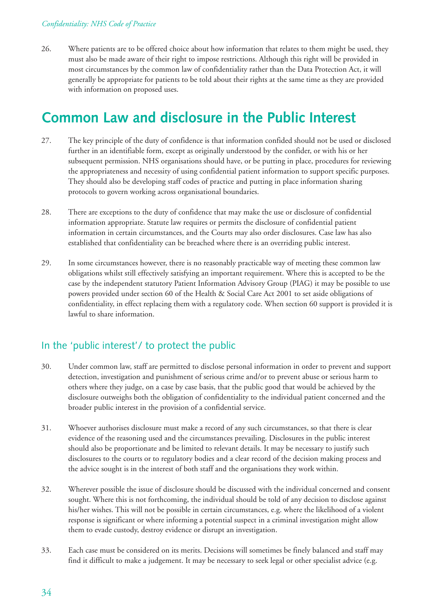#### *Confidentiality: NHS Code of Practice*

26. Where patients are to be offered choice about how information that relates to them might be used, they must also be made aware of their right to impose restrictions. Although this right will be provided in most circumstances by the common law of confidentiality rather than the Data Protection Act, it will generally be appropriate for patients to be told about their rights at the same time as they are provided with information on proposed uses.

# **Common Law and disclosure in the Public Interest**

- 27. The key principle of the duty of confidence is that information confided should not be used or disclosed further in an identifiable form, except as originally understood by the confider, or with his or her subsequent permission. NHS organisations should have, or be putting in place, procedures for reviewing the appropriateness and necessity of using confidential patient information to support specific purposes. They should also be developing staff codes of practice and putting in place information sharing protocols to govern working across organisational boundaries.
- 28. There are exceptions to the duty of confidence that may make the use or disclosure of confidential information appropriate. Statute law requires or permits the disclosure of confidential patient information in certain circumstances, and the Courts may also order disclosures. Case law has also established that confidentiality can be breached where there is an overriding public interest.
- 29. In some circumstances however, there is no reasonably practicable way of meeting these common law obligations whilst still effectively satisfying an important requirement. Where this is accepted to be the case by the independent statutory Patient Information Advisory Group (PIAG) it may be possible to use powers provided under section 60 of the Health & Social Care Act 2001 to set aside obligations of confidentiality, in effect replacing them with a regulatory code. When section 60 support is provided it is lawful to share information.

### In the 'public interest'/ to protect the public

- 30. Under common law, staff are permitted to disclose personal information in order to prevent and support detection, investigation and punishment of serious crime and/or to prevent abuse or serious harm to others where they judge, on a case by case basis, that the public good that would be achieved by the disclosure outweighs both the obligation of confidentiality to the individual patient concerned and the broader public interest in the provision of a confidential service.
- 31. Whoever authorises disclosure must make a record of any such circumstances, so that there is clear evidence of the reasoning used and the circumstances prevailing. Disclosures in the public interest should also be proportionate and be limited to relevant details. It may be necessary to justify such disclosures to the courts or to regulatory bodies and a clear record of the decision making process and the advice sought is in the interest of both staff and the organisations they work within.
- 32. Wherever possible the issue of disclosure should be discussed with the individual concerned and consent sought. Where this is not forthcoming, the individual should be told of any decision to disclose against his/her wishes. This will not be possible in certain circumstances, e.g. where the likelihood of a violent response is significant or where informing a potential suspect in a criminal investigation might allow them to evade custody, destroy evidence or disrupt an investigation.
- 33. Each case must be considered on its merits. Decisions will sometimes be finely balanced and staff may find it difficult to make a judgement. It may be necessary to seek legal or other specialist advice (e.g.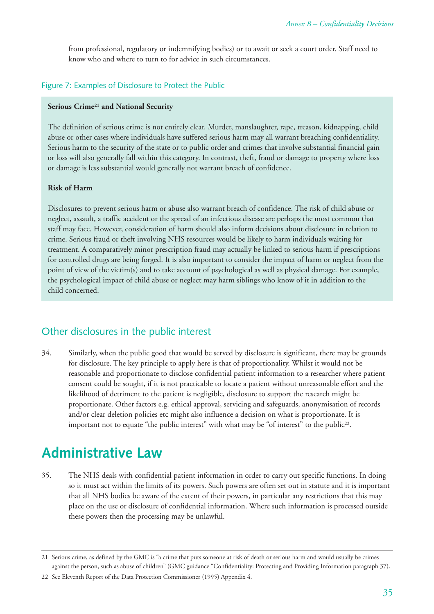from professional, regulatory or indemnifying bodies) or to await or seek a court order. Staff need to know who and where to turn to for advice in such circumstances.

#### Figure 7: Examples of Disclosure to Protect the Public

#### **Serious Crime21 and National Security**

The definition of serious crime is not entirely clear. Murder, manslaughter, rape, treason, kidnapping, child abuse or other cases where individuals have suffered serious harm may all warrant breaching confidentiality. Serious harm to the security of the state or to public order and crimes that involve substantial financial gain or loss will also generally fall within this category. In contrast, theft, fraud or damage to property where loss or damage is less substantial would generally not warrant breach of confidence.

#### **Risk of Harm**

Disclosures to prevent serious harm or abuse also warrant breach of confidence. The risk of child abuse or neglect, assault, a traffic accident or the spread of an infectious disease are perhaps the most common that staff may face. However, consideration of harm should also inform decisions about disclosure in relation to crime. Serious fraud or theft involving NHS resources would be likely to harm individuals waiting for treatment. A comparatively minor prescription fraud may actually be linked to serious harm if prescriptions for controlled drugs are being forged. It is also important to consider the impact of harm or neglect from the point of view of the victim(s) and to take account of psychological as well as physical damage. For example, the psychological impact of child abuse or neglect may harm siblings who know of it in addition to the child concerned.

#### Other disclosures in the public interest

34. Similarly, when the public good that would be served by disclosure is significant, there may be grounds for disclosure. The key principle to apply here is that of proportionality. Whilst it would not be reasonable and proportionate to disclose confidential patient information to a researcher where patient consent could be sought, if it is not practicable to locate a patient without unreasonable effort and the likelihood of detriment to the patient is negligible, disclosure to support the research might be proportionate. Other factors e.g. ethical approval, servicing and safeguards, anonymisation of records and/or clear deletion policies etc might also influence a decision on what is proportionate. It is important not to equate "the public interest" with what may be "of interest" to the public<sup>22</sup>.

# **Administrative Law**

35. The NHS deals with confidential patient information in order to carry out specific functions. In doing so it must act within the limits of its powers. Such powers are often set out in statute and it is important that all NHS bodies be aware of the extent of their powers, in particular any restrictions that this may place on the use or disclosure of confidential information. Where such information is processed outside these powers then the processing may be unlawful.

<sup>21</sup> Serious crime, as defined by the GMC is "a crime that puts someone at risk of death or serious harm and would usually be crimes against the person, such as abuse of children" (GMC guidance "Confidentiality: Protecting and Providing Information paragraph 37).

<sup>22</sup> See Eleventh Report of the Data Protection Commissioner (1995) Appendix 4.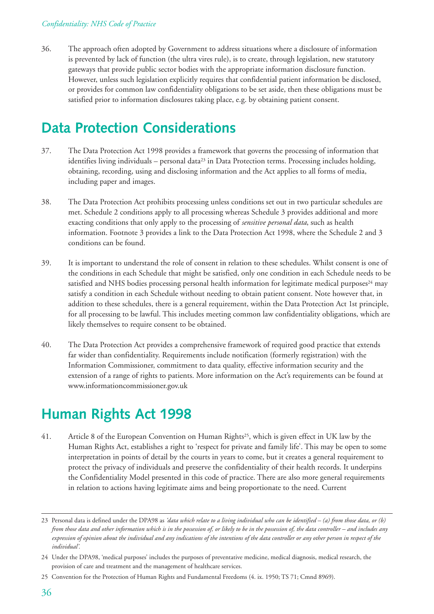#### *Confidentiality: NHS Code of Practice*

36. The approach often adopted by Government to address situations where a disclosure of information is prevented by lack of function (the ultra vires rule), is to create, through legislation, new statutory gateways that provide public sector bodies with the appropriate information disclosure function. However, unless such legislation explicitly requires that confidential patient information be disclosed, or provides for common law confidentiality obligations to be set aside, then these obligations must be satisfied prior to information disclosures taking place, e.g. by obtaining patient consent.

# **Data Protection Considerations**

- 37. The Data Protection Act 1998 provides a framework that governs the processing of information that identifies living individuals – personal data<sup>23</sup> in Data Protection terms. Processing includes holding, obtaining, recording, using and disclosing information and the Act applies to all forms of media, including paper and images.
- 38. The Data Protection Act prohibits processing unless conditions set out in two particular schedules are met. Schedule 2 conditions apply to all processing whereas Schedule 3 provides additional and more exacting conditions that only apply to the processing of *sensitive personal data*, such as health information. Footnote 3 provides a link to the Data Protection Act 1998, where the Schedule 2 and 3 conditions can be found.
- 39. It is important to understand the role of consent in relation to these schedules. Whilst consent is one of the conditions in each Schedule that might be satisfied, only one condition in each Schedule needs to be satisfied and NHS bodies processing personal health information for legitimate medical purposes<sup>24</sup> may satisfy a condition in each Schedule without needing to obtain patient consent. Note however that, in addition to these schedules, there is a general requirement, within the Data Protection Act 1st principle, for all processing to be lawful. This includes meeting common law confidentiality obligations, which are likely themselves to require consent to be obtained.
- 40. The Data Protection Act provides a comprehensive framework of required good practice that extends far wider than confidentiality. Requirements include notification (formerly registration) with the Information Commissioner, commitment to data quality, effective information security and the extension of a range of rights to patients. More information on the Act's requirements can be found at www.informationcommissioner.gov.uk

# **Human Rights Act 1998**

41. Article 8 of the European Convention on Human Rights<sup>25</sup>, which is given effect in UK law by the Human Rights Act, establishes a right to 'respect for private and family life'. This may be open to some interpretation in points of detail by the courts in years to come, but it creates a general requirement to protect the privacy of individuals and preserve the confidentiality of their health records. It underpins the Confidentiality Model presented in this code of practice. There are also more general requirements in relation to actions having legitimate aims and being proportionate to the need. Current

<sup>23</sup> Personal data is defined under the DPA98 as *'data which relate to a living individual who can be identified – (a) from those data, or (b) from those data and other information which is in the possession of, or likely to be in the possession of, the data controller – and includes any expression of opinion about the individual and any indications of the intentions of the data controller or any other person in respect of the individual'.*

<sup>24</sup> Under the DPA98, 'medical purposes' includes the purposes of preventative medicine, medical diagnosis, medical research, the provision of care and treatment and the management of healthcare services.

<sup>25</sup> Convention for the Protection of Human Rights and Fundamental Freedoms (4. ix. 1950; TS 71; Cmnd 8969).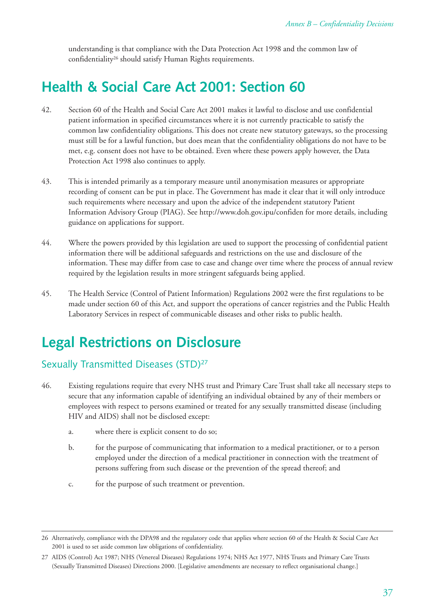understanding is that compliance with the Data Protection Act 1998 and the common law of confidentiality26 should satisfy Human Rights requirements.

## **Health & Social Care Act 2001: Section 60**

- 42. Section 60 of the Health and Social Care Act 2001 makes it lawful to disclose and use confidential patient information in specified circumstances where it is not currently practicable to satisfy the common law confidentiality obligations. This does not create new statutory gateways, so the processing must still be for a lawful function, but does mean that the confidentiality obligations do not have to be met, e.g. consent does not have to be obtained. Even where these powers apply however, the Data Protection Act 1998 also continues to apply.
- 43. This is intended primarily as a temporary measure until anonymisation measures or appropriate recording of consent can be put in place. The Government has made it clear that it will only introduce such requirements where necessary and upon the advice of the independent statutory Patient Information Advisory Group (PIAG). See http://www.doh.gov.ipu/confiden for more details, including guidance on applications for support.
- 44. Where the powers provided by this legislation are used to support the processing of confidential patient information there will be additional safeguards and restrictions on the use and disclosure of the information. These may differ from case to case and change over time where the process of annual review required by the legislation results in more stringent safeguards being applied.
- 45. The Health Service (Control of Patient Information) Regulations 2002 were the first regulations to be made under section 60 of this Act, and support the operations of cancer registries and the Public Health Laboratory Services in respect of communicable diseases and other risks to public health.

# **Legal Restrictions on Disclosure**

### Sexually Transmitted Diseases (STD)<sup>27</sup>

- 46. Existing regulations require that every NHS trust and Primary Care Trust shall take all necessary steps to secure that any information capable of identifying an individual obtained by any of their members or employees with respect to persons examined or treated for any sexually transmitted disease (including HIV and AIDS) shall not be disclosed except:
	- a. where there is explicit consent to do so;
	- b. for the purpose of communicating that information to a medical practitioner, or to a person employed under the direction of a medical practitioner in connection with the treatment of persons suffering from such disease or the prevention of the spread thereof; and
	- c. for the purpose of such treatment or prevention.

<sup>26</sup> Alternatively, compliance with the DPA98 and the regulatory code that applies where section 60 of the Health & Social Care Act 2001 is used to set aside common law obligations of confidentiality.

<sup>27</sup> AIDS (Control) Act 1987; NHS (Venereal Diseases) Regulations 1974; NHS Act 1977, NHS Trusts and Primary Care Trusts (Sexually Transmitted Diseases) Directions 2000. [Legislative amendments are necessary to reflect organisational change.]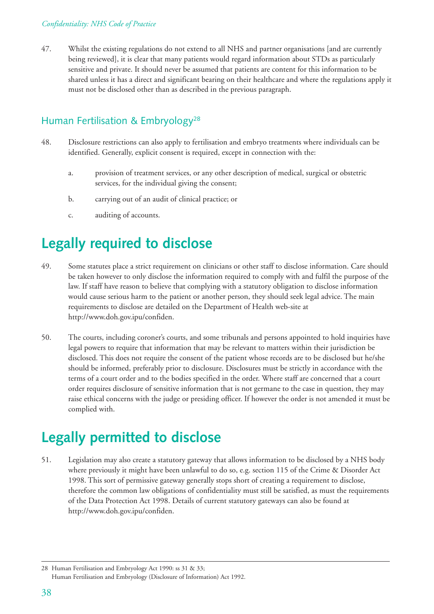#### *Confidentiality: NHS Code of Practice*

47. Whilst the existing regulations do not extend to all NHS and partner organisations [and are currently being reviewed], it is clear that many patients would regard information about STDs as particularly sensitive and private. It should never be assumed that patients are content for this information to be shared unless it has a direct and significant bearing on their healthcare and where the regulations apply it must not be disclosed other than as described in the previous paragraph.

### Human Fertilisation & Embryology<sup>28</sup>

- 48. Disclosure restrictions can also apply to fertilisation and embryo treatments where individuals can be identified. Generally, explicit consent is required, except in connection with the:
	- a. provision of treatment services, or any other description of medical, surgical or obstetric services, for the individual giving the consent;
	- b. carrying out of an audit of clinical practice; or
	- c. auditing of accounts.

# **Legally required to disclose**

- 49. Some statutes place a strict requirement on clinicians or other staff to disclose information. Care should be taken however to only disclose the information required to comply with and fulfil the purpose of the law. If staff have reason to believe that complying with a statutory obligation to disclose information would cause serious harm to the patient or another person, they should seek legal advice. The main requirements to disclose are detailed on the Department of Health web-site at http://www.doh.gov.ipu/confiden.
- 50. The courts, including coroner's courts, and some tribunals and persons appointed to hold inquiries have legal powers to require that information that may be relevant to matters within their jurisdiction be disclosed. This does not require the consent of the patient whose records are to be disclosed but he/she should be informed, preferably prior to disclosure. Disclosures must be strictly in accordance with the terms of a court order and to the bodies specified in the order. Where staff are concerned that a court order requires disclosure of sensitive information that is not germane to the case in question, they may raise ethical concerns with the judge or presiding officer. If however the order is not amended it must be complied with.

# **Legally permitted to disclose**

51. Legislation may also create a statutory gateway that allows information to be disclosed by a NHS body where previously it might have been unlawful to do so, e.g. section 115 of the Crime & Disorder Act 1998. This sort of permissive gateway generally stops short of creating a requirement to disclose, therefore the common law obligations of confidentiality must still be satisfied, as must the requirements of the Data Protection Act 1998. Details of current statutory gateways can also be found at http://www.doh.gov.ipu/confiden.

<sup>28</sup> Human Fertilisation and Embryology Act 1990: ss 31 & 33; Human Fertilisation and Embryology (Disclosure of Information) Act 1992.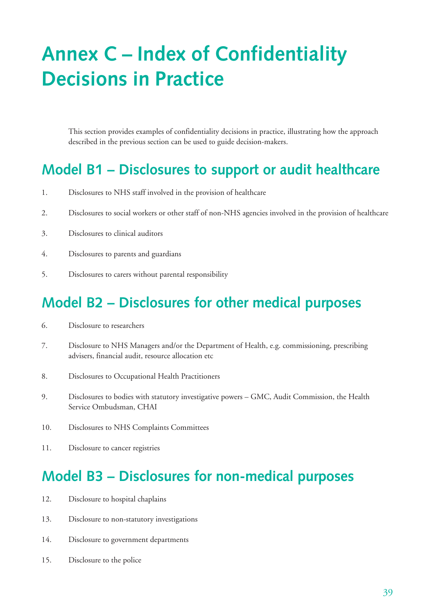# **Annex C – Index of Confidentiality Decisions in Practice**

This section provides examples of confidentiality decisions in practice, illustrating how the approach described in the previous section can be used to guide decision-makers.

# **Model B1 – Disclosures to support or audit healthcare**

- 1. Disclosures to NHS staff involved in the provision of healthcare
- 2. Disclosures to social workers or other staff of non-NHS agencies involved in the provision of healthcare
- 3. Disclosures to clinical auditors
- 4. Disclosures to parents and guardians
- 5. Disclosures to carers without parental responsibility

# **Model B2 – Disclosures for other medical purposes**

- 6. Disclosure to researchers
- 7. Disclosure to NHS Managers and/or the Department of Health, e.g. commissioning, prescribing advisers, financial audit, resource allocation etc
- 8. Disclosures to Occupational Health Practitioners
- 9. Disclosures to bodies with statutory investigative powers GMC, Audit Commission, the Health Service Ombudsman, CHAI
- 10. Disclosures to NHS Complaints Committees
- 11. Disclosure to cancer registries

# **Model B3 – Disclosures for non-medical purposes**

- 12. Disclosure to hospital chaplains
- 13. Disclosure to non-statutory investigations
- 14. Disclosure to government departments
- 15. Disclosure to the police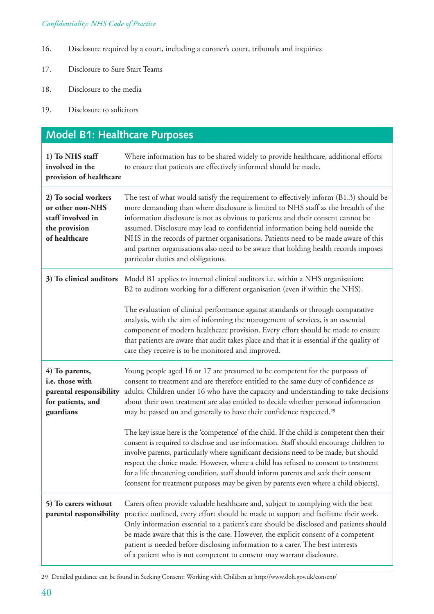- 16. Disclosure required by a court, including a coroner's court, tribunals and inquiries
- 17. Disclosure to Sure Start Teams
- 18. Disclosure to the media

19. Disclosure to solicitors

## **Model B1: Healthcare Purposes**

| 1) To NHS staff<br>involved in the<br>provision of healthcare                                   | Where information has to be shared widely to provide healthcare, additional efforts<br>to ensure that patients are effectively informed should be made.                                                                                                                                                                                                                                                                                                                                                                                                                |
|-------------------------------------------------------------------------------------------------|------------------------------------------------------------------------------------------------------------------------------------------------------------------------------------------------------------------------------------------------------------------------------------------------------------------------------------------------------------------------------------------------------------------------------------------------------------------------------------------------------------------------------------------------------------------------|
| 2) To social workers<br>or other non-NHS<br>staff involved in<br>the provision<br>of healthcare | The test of what would satisfy the requirement to effectively inform (B1.3) should be<br>more demanding than where disclosure is limited to NHS staff as the breadth of the<br>information disclosure is not as obvious to patients and their consent cannot be<br>assumed. Disclosure may lead to confidential information being held outside the<br>NHS in the records of partner organisations. Patients need to be made aware of this<br>and partner organisations also need to be aware that holding health records imposes<br>particular duties and obligations. |
|                                                                                                 | 3) To clinical auditors Model B1 applies to internal clinical auditors i.e. within a NHS organisation;<br>B2 to auditors working for a different organisation (even if within the NHS).                                                                                                                                                                                                                                                                                                                                                                                |
|                                                                                                 | The evaluation of clinical performance against standards or through comparative<br>analysis, with the aim of informing the management of services, is an essential<br>component of modern healthcare provision. Every effort should be made to ensure<br>that patients are aware that audit takes place and that it is essential if the quality of<br>care they receive is to be monitored and improved.                                                                                                                                                               |
| 4) To parents,<br>i.e. those with<br>parental responsibility<br>for patients, and<br>guardians  | Young people aged 16 or 17 are presumed to be competent for the purposes of<br>consent to treatment and are therefore entitled to the same duty of confidence as<br>adults. Children under 16 who have the capacity and understanding to take decisions<br>about their own treatment are also entitled to decide whether personal information<br>may be passed on and generally to have their confidence respected. <sup>29</sup>                                                                                                                                      |
|                                                                                                 | The key issue here is the 'competence' of the child. If the child is competent then their<br>consent is required to disclose and use information. Staff should encourage children to<br>involve parents, particularly where significant decisions need to be made, but should<br>respect the choice made. However, where a child has refused to consent to treatment<br>for a life threatening condition, staff should inform parents and seek their consent<br>(consent for treatment purposes may be given by parents even where a child objects).                   |
| 5) To carers without<br>parental responsibility                                                 | Carers often provide valuable healthcare and, subject to complying with the best<br>practice outlined, every effort should be made to support and facilitate their work.<br>Only information essential to a patient's care should be disclosed and patients should<br>be made aware that this is the case. However, the explicit consent of a competent<br>patient is needed before disclosing information to a carer. The best interests<br>of a patient who is not competent to consent may warrant disclosure.                                                      |

29 Detailed guidance can be found in Seeking Consent: Working with Children at http://www.doh.gov.uk/consent/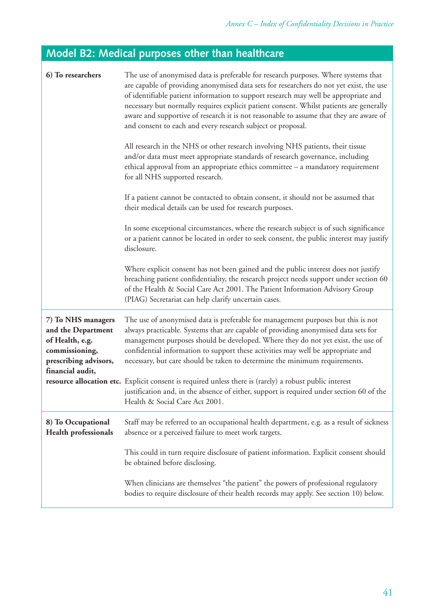# **Model B2: Medical purposes other than healthcare**

| 6) To researchers                                                                                                          | The use of anonymised data is preferable for research purposes. Where systems that<br>are capable of providing anonymised data sets for researchers do not yet exist, the use<br>of identifiable patient information to support research may well be appropriate and<br>necessary but normally requires explicit patient consent. Whilst patients are generally<br>aware and supportive of research it is not reasonable to assume that they are aware of<br>and consent to each and every research subject or proposal. |
|----------------------------------------------------------------------------------------------------------------------------|--------------------------------------------------------------------------------------------------------------------------------------------------------------------------------------------------------------------------------------------------------------------------------------------------------------------------------------------------------------------------------------------------------------------------------------------------------------------------------------------------------------------------|
|                                                                                                                            | All research in the NHS or other research involving NHS patients, their tissue<br>and/or data must meet appropriate standards of research governance, including<br>ethical approval from an appropriate ethics committee - a mandatory requirement<br>for all NHS supported research.                                                                                                                                                                                                                                    |
|                                                                                                                            | If a patient cannot be contacted to obtain consent, it should not be assumed that<br>their medical details can be used for research purposes.                                                                                                                                                                                                                                                                                                                                                                            |
|                                                                                                                            | In some exceptional circumstances, where the research subject is of such significance<br>or a patient cannot be located in order to seek consent, the public interest may justify<br>disclosure.                                                                                                                                                                                                                                                                                                                         |
|                                                                                                                            | Where explicit consent has not been gained and the public interest does not justify<br>breaching patient confidentiality, the research project needs support under section 60<br>of the Health & Social Care Act 2001. The Patient Information Advisory Group<br>(PIAG) Secretariat can help clarify uncertain cases.                                                                                                                                                                                                    |
| 7) To NHS managers<br>and the Department<br>of Health, e.g.<br>commissioning,<br>prescribing advisors,<br>financial audit, | The use of anonymised data is preferable for management purposes but this is not<br>always practicable. Systems that are capable of providing anonymised data sets for<br>management purposes should be developed. Where they do not yet exist, the use of<br>confidential information to support these activities may well be appropriate and<br>necessary, but care should be taken to determine the minimum requirements.                                                                                             |
|                                                                                                                            | resource allocation etc. Explicit consent is required unless there is (rarely) a robust public interest<br>justification and, in the absence of either, support is required under section 60 of the<br>Health & Social Care Act 2001.                                                                                                                                                                                                                                                                                    |
| 8) To Occupational<br>Health professionals                                                                                 | Staff may be referred to an occupational health department, e.g. as a result of sickness<br>absence or a perceived failure to meet work targets.                                                                                                                                                                                                                                                                                                                                                                         |
|                                                                                                                            | This could in turn require disclosure of patient information. Explicit consent should<br>be obtained before disclosing.                                                                                                                                                                                                                                                                                                                                                                                                  |
|                                                                                                                            | When clinicians are themselves "the patient" the powers of professional regulatory<br>bodies to require disclosure of their health records may apply. See section 10) below.                                                                                                                                                                                                                                                                                                                                             |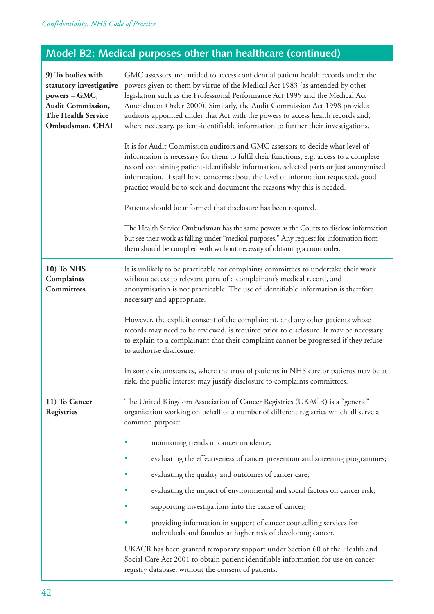## **Model B2: Medical purposes other than healthcare (continued)**

| 9) To bodies with<br>statutory investigative<br>powers - GMC,<br><b>Audit Commission,</b><br>The Health Service<br>Ombudsman, CHAI | GMC assessors are entitled to access confidential patient health records under the<br>powers given to them by virtue of the Medical Act 1983 (as amended by other<br>legislation such as the Professional Performance Act 1995 and the Medical Act<br>Amendment Order 2000). Similarly, the Audit Commission Act 1998 provides<br>auditors appointed under that Act with the powers to access health records and,<br>where necessary, patient-identifiable information to further their investigations.<br>It is for Audit Commission auditors and GMC assessors to decide what level of<br>information is necessary for them to fulfil their functions, e.g. access to a complete<br>record containing patient-identifiable information, selected parts or just anonymised<br>information. If staff have concerns about the level of information requested, good<br>practice would be to seek and document the reasons why this is needed.<br>Patients should be informed that disclosure has been required.<br>The Health Service Ombudsman has the same powers as the Courts to disclose information |
|------------------------------------------------------------------------------------------------------------------------------------|---------------------------------------------------------------------------------------------------------------------------------------------------------------------------------------------------------------------------------------------------------------------------------------------------------------------------------------------------------------------------------------------------------------------------------------------------------------------------------------------------------------------------------------------------------------------------------------------------------------------------------------------------------------------------------------------------------------------------------------------------------------------------------------------------------------------------------------------------------------------------------------------------------------------------------------------------------------------------------------------------------------------------------------------------------------------------------------------------------|
|                                                                                                                                    | but see their work as falling under "medical purposes." Any request for information from<br>them should be complied with without necessity of obtaining a court order.                                                                                                                                                                                                                                                                                                                                                                                                                                                                                                                                                                                                                                                                                                                                                                                                                                                                                                                                  |
| <b>10)</b> To NHS<br><b>Complaints</b><br>Committees                                                                               | It is unlikely to be practicable for complaints committees to undertake their work<br>without access to relevant parts of a complainant's medical record, and<br>anonymisation is not practicable. The use of identifiable information is therefore<br>necessary and appropriate.                                                                                                                                                                                                                                                                                                                                                                                                                                                                                                                                                                                                                                                                                                                                                                                                                       |
|                                                                                                                                    | However, the explicit consent of the complainant, and any other patients whose<br>records may need to be reviewed, is required prior to disclosure. It may be necessary<br>to explain to a complainant that their complaint cannot be progressed if they refuse<br>to authorise disclosure.                                                                                                                                                                                                                                                                                                                                                                                                                                                                                                                                                                                                                                                                                                                                                                                                             |
|                                                                                                                                    | In some circumstances, where the trust of patients in NHS care or patients may be at<br>risk, the public interest may justify disclosure to complaints committees.                                                                                                                                                                                                                                                                                                                                                                                                                                                                                                                                                                                                                                                                                                                                                                                                                                                                                                                                      |
| 11) To Cancer<br>Registries                                                                                                        | The United Kingdom Association of Cancer Registries (UKACR) is a "generic"<br>organisation working on behalf of a number of different registries which all serve a<br>common purpose:                                                                                                                                                                                                                                                                                                                                                                                                                                                                                                                                                                                                                                                                                                                                                                                                                                                                                                                   |
|                                                                                                                                    | monitoring trends in cancer incidence;                                                                                                                                                                                                                                                                                                                                                                                                                                                                                                                                                                                                                                                                                                                                                                                                                                                                                                                                                                                                                                                                  |
|                                                                                                                                    | evaluating the effectiveness of cancer prevention and screening programmes;                                                                                                                                                                                                                                                                                                                                                                                                                                                                                                                                                                                                                                                                                                                                                                                                                                                                                                                                                                                                                             |
|                                                                                                                                    | evaluating the quality and outcomes of cancer care;                                                                                                                                                                                                                                                                                                                                                                                                                                                                                                                                                                                                                                                                                                                                                                                                                                                                                                                                                                                                                                                     |
|                                                                                                                                    | evaluating the impact of environmental and social factors on cancer risk;                                                                                                                                                                                                                                                                                                                                                                                                                                                                                                                                                                                                                                                                                                                                                                                                                                                                                                                                                                                                                               |
|                                                                                                                                    | supporting investigations into the cause of cancer;                                                                                                                                                                                                                                                                                                                                                                                                                                                                                                                                                                                                                                                                                                                                                                                                                                                                                                                                                                                                                                                     |
|                                                                                                                                    | providing information in support of cancer counselling services for<br>individuals and families at higher risk of developing cancer.                                                                                                                                                                                                                                                                                                                                                                                                                                                                                                                                                                                                                                                                                                                                                                                                                                                                                                                                                                    |
|                                                                                                                                    | UKACR has been granted temporary support under Section 60 of the Health and<br>Social Care Act 2001 to obtain patient identifiable information for use on cancer<br>registry database, without the consent of patients.                                                                                                                                                                                                                                                                                                                                                                                                                                                                                                                                                                                                                                                                                                                                                                                                                                                                                 |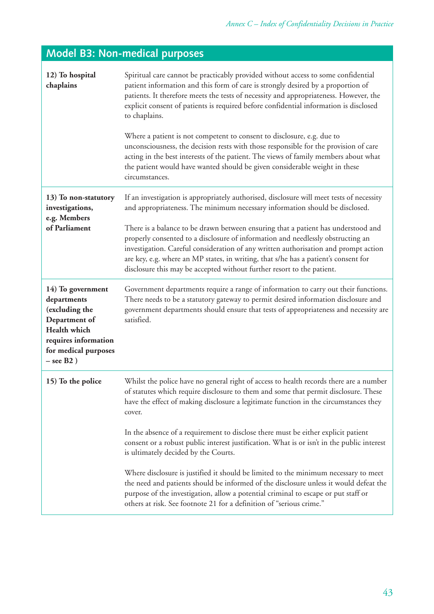| <b>Model B3: Non-medical purposes</b>                                                                                                              |                                                                                                                                                                                                                                                                                                                                                                                                                                                                                                                                                                                                                                                                                                                                                                                                                                                          |
|----------------------------------------------------------------------------------------------------------------------------------------------------|----------------------------------------------------------------------------------------------------------------------------------------------------------------------------------------------------------------------------------------------------------------------------------------------------------------------------------------------------------------------------------------------------------------------------------------------------------------------------------------------------------------------------------------------------------------------------------------------------------------------------------------------------------------------------------------------------------------------------------------------------------------------------------------------------------------------------------------------------------|
| 12) To hospital<br>chaplains                                                                                                                       | Spiritual care cannot be practicably provided without access to some confidential<br>patient information and this form of care is strongly desired by a proportion of<br>patients. It therefore meets the tests of necessity and appropriateness. However, the<br>explicit consent of patients is required before confidential information is disclosed<br>to chaplains.<br>Where a patient is not competent to consent to disclosure, e.g. due to<br>unconsciousness, the decision rests with those responsible for the provision of care<br>acting in the best interests of the patient. The views of family members about what<br>the patient would have wanted should be given considerable weight in these<br>circumstances.                                                                                                                        |
| 13) To non-statutory<br>investigations,<br>e.g. Members<br>of Parliament                                                                           | If an investigation is appropriately authorised, disclosure will meet tests of necessity<br>and appropriateness. The minimum necessary information should be disclosed.<br>There is a balance to be drawn between ensuring that a patient has understood and<br>properly consented to a disclosure of information and needlessly obstructing an<br>investigation. Careful consideration of any written authorisation and prompt action<br>are key, e.g. where an MP states, in writing, that s/he has a patient's consent for<br>disclosure this may be accepted without further resort to the patient.                                                                                                                                                                                                                                                  |
| 14) To government<br>departments<br>(excluding the<br>Department of<br>Health which<br>requires information<br>for medical purposes<br>$-$ see B2) | Government departments require a range of information to carry out their functions.<br>There needs to be a statutory gateway to permit desired information disclosure and<br>government departments should ensure that tests of appropriateness and necessity are<br>satisfied.                                                                                                                                                                                                                                                                                                                                                                                                                                                                                                                                                                          |
| 15) To the police                                                                                                                                  | Whilst the police have no general right of access to health records there are a number<br>of statutes which require disclosure to them and some that permit disclosure. These<br>have the effect of making disclosure a legitimate function in the circumstances they<br>cover.<br>In the absence of a requirement to disclose there must be either explicit patient<br>consent or a robust public interest justification. What is or isn't in the public interest<br>is ultimately decided by the Courts.<br>Where disclosure is justified it should be limited to the minimum necessary to meet<br>the need and patients should be informed of the disclosure unless it would defeat the<br>purpose of the investigation, allow a potential criminal to escape or put staff or<br>others at risk. See footnote 21 for a definition of "serious crime." |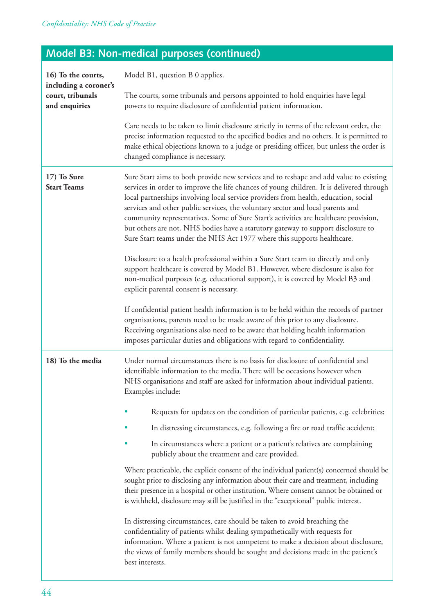## **Model B3: Non-medical purposes (continued)**

| 16) To the courts,<br>including a coroner's<br>court, tribunals<br>and enquiries | Model B1, question B 0 applies.                                                                                                                                                                                                                                                                                                                                                                                                                                                                                                                                                                                                                                                                                                                                                                                                                                                                                                                                                                                   |
|----------------------------------------------------------------------------------|-------------------------------------------------------------------------------------------------------------------------------------------------------------------------------------------------------------------------------------------------------------------------------------------------------------------------------------------------------------------------------------------------------------------------------------------------------------------------------------------------------------------------------------------------------------------------------------------------------------------------------------------------------------------------------------------------------------------------------------------------------------------------------------------------------------------------------------------------------------------------------------------------------------------------------------------------------------------------------------------------------------------|
|                                                                                  | The courts, some tribunals and persons appointed to hold enquiries have legal<br>powers to require disclosure of confidential patient information.                                                                                                                                                                                                                                                                                                                                                                                                                                                                                                                                                                                                                                                                                                                                                                                                                                                                |
|                                                                                  | Care needs to be taken to limit disclosure strictly in terms of the relevant order, the<br>precise information requested to the specified bodies and no others. It is permitted to<br>make ethical objections known to a judge or presiding officer, but unless the order is<br>changed compliance is necessary.                                                                                                                                                                                                                                                                                                                                                                                                                                                                                                                                                                                                                                                                                                  |
| 17) To Sure<br><b>Start Teams</b>                                                | Sure Start aims to both provide new services and to reshape and add value to existing<br>services in order to improve the life chances of young children. It is delivered through<br>local partnerships involving local service providers from health, education, social<br>services and other public services, the voluntary sector and local parents and<br>community representatives. Some of Sure Start's activities are healthcare provision,<br>but others are not. NHS bodies have a statutory gateway to support disclosure to<br>Sure Start teams under the NHS Act 1977 where this supports healthcare.<br>Disclosure to a health professional within a Sure Start team to directly and only<br>support healthcare is covered by Model B1. However, where disclosure is also for<br>non-medical purposes (e.g. educational support), it is covered by Model B3 and<br>explicit parental consent is necessary.<br>If confidential patient health information is to be held within the records of partner |
|                                                                                  | organisations, parents need to be made aware of this prior to any disclosure.<br>Receiving organisations also need to be aware that holding health information<br>imposes particular duties and obligations with regard to confidentiality.                                                                                                                                                                                                                                                                                                                                                                                                                                                                                                                                                                                                                                                                                                                                                                       |
| 18) To the media                                                                 | Under normal circumstances there is no basis for disclosure of confidential and<br>identifiable information to the media. There will be occasions however when<br>NHS organisations and staff are asked for information about individual patients.<br>Examples include:                                                                                                                                                                                                                                                                                                                                                                                                                                                                                                                                                                                                                                                                                                                                           |
|                                                                                  | Requests for updates on the condition of particular patients, e.g. celebrities;                                                                                                                                                                                                                                                                                                                                                                                                                                                                                                                                                                                                                                                                                                                                                                                                                                                                                                                                   |
|                                                                                  | In distressing circumstances, e.g. following a fire or road traffic accident;                                                                                                                                                                                                                                                                                                                                                                                                                                                                                                                                                                                                                                                                                                                                                                                                                                                                                                                                     |
|                                                                                  | In circumstances where a patient or a patient's relatives are complaining<br>publicly about the treatment and care provided.                                                                                                                                                                                                                                                                                                                                                                                                                                                                                                                                                                                                                                                                                                                                                                                                                                                                                      |
|                                                                                  | Where practicable, the explicit consent of the individual patient(s) concerned should be<br>sought prior to disclosing any information about their care and treatment, including<br>their presence in a hospital or other institution. Where consent cannot be obtained or<br>is withheld, disclosure may still be justified in the "exceptional" public interest.                                                                                                                                                                                                                                                                                                                                                                                                                                                                                                                                                                                                                                                |
|                                                                                  | In distressing circumstances, care should be taken to avoid breaching the<br>confidentiality of patients whilst dealing sympathetically with requests for<br>information. Where a patient is not competent to make a decision about disclosure,<br>the views of family members should be sought and decisions made in the patient's<br>best interests.                                                                                                                                                                                                                                                                                                                                                                                                                                                                                                                                                                                                                                                            |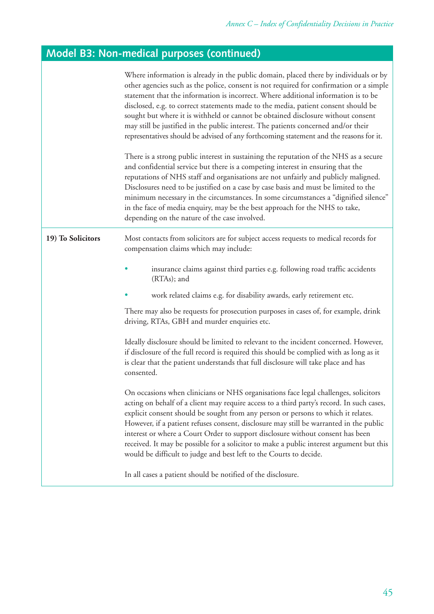|                   | <b>Model B3: Non-medical purposes (continued)</b>                                                                                                                                                                                                                                                                                                                                                                                                                                                                                                                                                                               |
|-------------------|---------------------------------------------------------------------------------------------------------------------------------------------------------------------------------------------------------------------------------------------------------------------------------------------------------------------------------------------------------------------------------------------------------------------------------------------------------------------------------------------------------------------------------------------------------------------------------------------------------------------------------|
|                   | Where information is already in the public domain, placed there by individuals or by<br>other agencies such as the police, consent is not required for confirmation or a simple<br>statement that the information is incorrect. Where additional information is to be<br>disclosed, e.g. to correct statements made to the media, patient consent should be<br>sought but where it is withheld or cannot be obtained disclosure without consent<br>may still be justified in the public interest. The patients concerned and/or their<br>representatives should be advised of any forthcoming statement and the reasons for it. |
|                   | There is a strong public interest in sustaining the reputation of the NHS as a secure<br>and confidential service but there is a competing interest in ensuring that the<br>reputations of NHS staff and organisations are not unfairly and publicly maligned.<br>Disclosures need to be justified on a case by case basis and must be limited to the<br>minimum necessary in the circumstances. In some circumstances a "dignified silence"<br>in the face of media enquiry, may be the best approach for the NHS to take,<br>depending on the nature of the case involved.                                                    |
| 19) To Solicitors | Most contacts from solicitors are for subject access requests to medical records for<br>compensation claims which may include:                                                                                                                                                                                                                                                                                                                                                                                                                                                                                                  |
|                   | insurance claims against third parties e.g. following road traffic accidents<br>(RTAs); and                                                                                                                                                                                                                                                                                                                                                                                                                                                                                                                                     |
|                   | work related claims e.g. for disability awards, early retirement etc.                                                                                                                                                                                                                                                                                                                                                                                                                                                                                                                                                           |
|                   | There may also be requests for prosecution purposes in cases of, for example, drink<br>driving, RTAs, GBH and murder enquiries etc.                                                                                                                                                                                                                                                                                                                                                                                                                                                                                             |
|                   | Ideally disclosure should be limited to relevant to the incident concerned. However,<br>if disclosure of the full record is required this should be complied with as long as it<br>is clear that the patient understands that full disclosure will take place and has<br>consented.                                                                                                                                                                                                                                                                                                                                             |
|                   | On occasions when clinicians or NHS organisations face legal challenges, solicitors<br>acting on behalf of a client may require access to a third party's record. In such cases,<br>explicit consent should be sought from any person or persons to which it relates.<br>However, if a patient refuses consent, disclosure may still be warranted in the public<br>interest or where a Court Order to support disclosure without consent has been<br>received. It may be possible for a solicitor to make a public interest argument but this<br>would be difficult to judge and best left to the Courts to decide.             |
|                   | In all cases a patient should be notified of the disclosure.                                                                                                                                                                                                                                                                                                                                                                                                                                                                                                                                                                    |